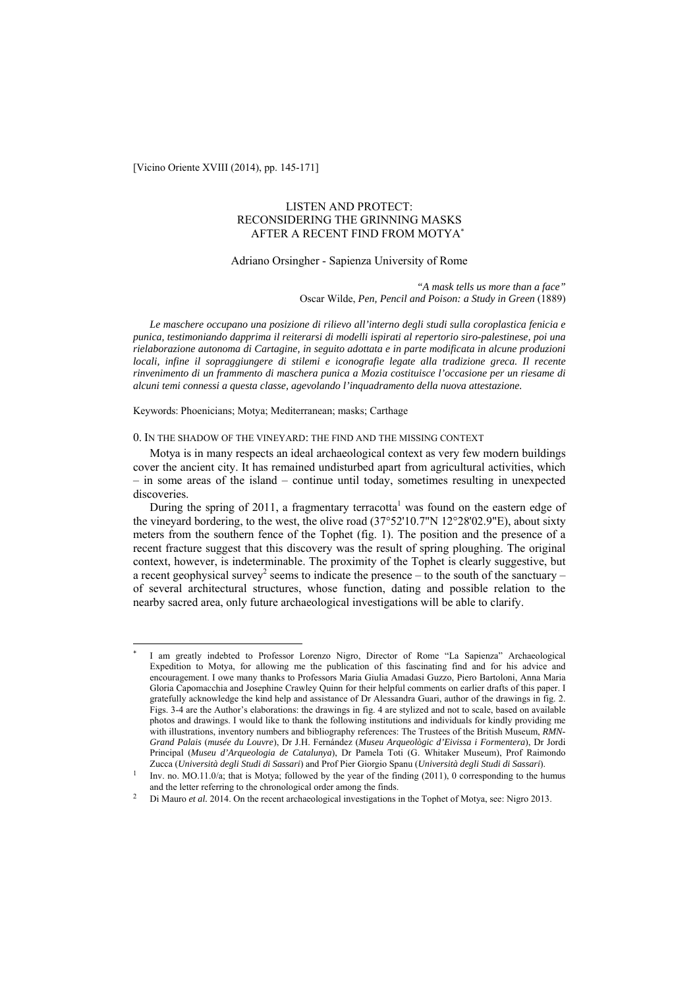[Vicino Oriente XVIII (2014), pp. 145-171]

## LISTEN AND PROTECT: RECONSIDERING THE GRINNING MASKS AFTER A RECENT FIND FROM MOTYA\*

#### Adriano Orsingher - Sapienza University of Rome

*"A mask tells us more than a face"*  Oscar Wilde, *Pen, Pencil and Poison: a Study in Green* (1889)

*Le maschere occupano una posizione di rilievo all'interno degli studi sulla coroplastica fenicia e punica, testimoniando dapprima il reiterarsi di modelli ispirati al repertorio siro-palestinese, poi una rielaborazione autonoma di Cartagine, in seguito adottata e in parte modificata in alcune produzioni locali, infine il sopraggiungere di stilemi e iconografie legate alla tradizione greca. Il recente rinvenimento di un frammento di maschera punica a Mozia costituisce l'occasione per un riesame di alcuni temi connessi a questa classe, agevolando l'inquadramento della nuova attestazione.* 

Keywords: Phoenicians; Motya; Mediterranean; masks; Carthage

 $\overline{a}$ 

#### 0. IN THE SHADOW OF THE VINEYARD: THE FIND AND THE MISSING CONTEXT

Motya is in many respects an ideal archaeological context as very few modern buildings cover the ancient city. It has remained undisturbed apart from agricultural activities, which – in some areas of the island – continue until today, sometimes resulting in unexpected discoveries.

During the spring of 2011, a fragmentary terracotta<sup>1</sup> was found on the eastern edge of the vineyard bordering, to the west, the olive road (37°52'10.7"N 12°28'02.9"E), about sixty meters from the southern fence of the Tophet (fig. 1). The position and the presence of a recent fracture suggest that this discovery was the result of spring ploughing. The original context, however, is indeterminable. The proximity of the Tophet is clearly suggestive, but a recent geophysical survey<sup>2</sup> seems to indicate the presence – to the south of the sanctuary – of several architectural structures, whose function, dating and possible relation to the nearby sacred area, only future archaeological investigations will be able to clarify.

I am greatly indebted to Professor Lorenzo Nigro, Director of Rome "La Sapienza" Archaeological Expedition to Motya, for allowing me the publication of this fascinating find and for his advice and encouragement. I owe many thanks to Professors Maria Giulia Amadasi Guzzo, Piero Bartoloni, Anna Maria Gloria Capomacchia and Josephine Crawley Quinn for their helpful comments on earlier drafts of this paper. I gratefully acknowledge the kind help and assistance of Dr Alessandra Guari, author of the drawings in fig. 2. Figs. 3-4 are the Author's elaborations: the drawings in fig. 4 are stylized and not to scale, based on available photos and drawings. I would like to thank the following institutions and individuals for kindly providing me with illustrations, inventory numbers and bibliography references: The Trustees of the British Museum, *RMN-Grand Palais* (*musée du Louvre*), Dr J.H. Fernández (*Museu Arqueològic d'Eivissa i Formentera*), Dr Jordi Principal (*Museu d'Arqueologia de Catalunya*), Dr Pamela Toti (G. Whitaker Museum), Prof Raimondo

Zucca (Università degli Studi di Sassari) and Prof Pier Giorgio Spanu (Università degli Studi di Sassari).<br>
Inv. no. MO.11.0/a; that is Motya; followed by the year of the finding (2011), 0 corresponding to the humus and the letter referring to the chronological order among the finds.<br>Di Mauro *et al.* 2014. On the recent archaeological investigations in the Tophet of Motya, see: Nigro 2013.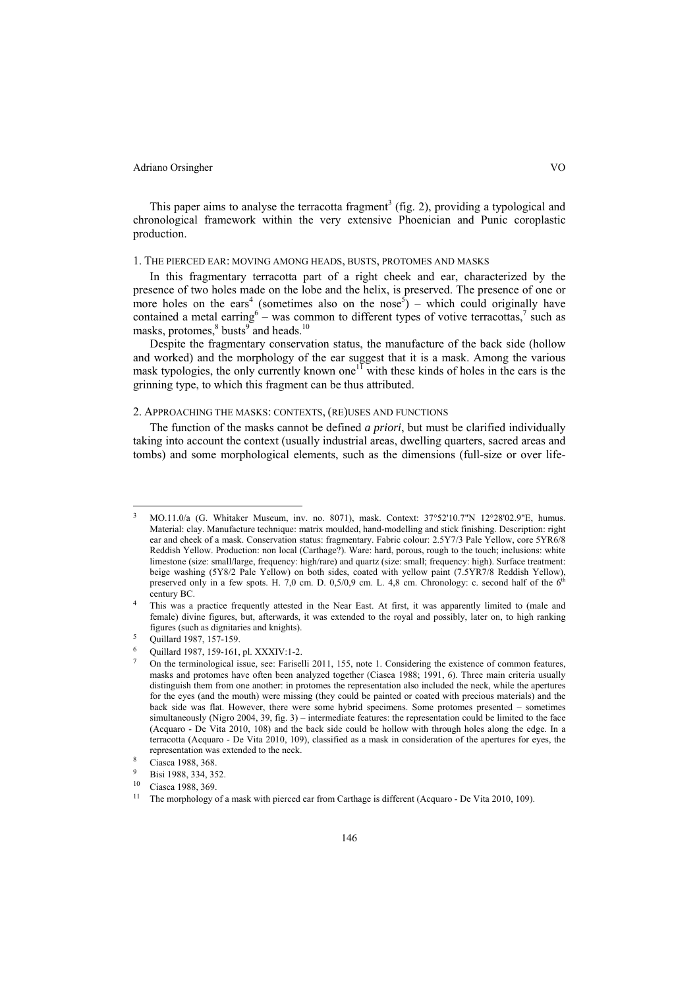This paper aims to analyse the terracotta fragment<sup>3</sup> (fig. 2), providing a typological and chronological framework within the very extensive Phoenician and Punic coroplastic production.

## 1. THE PIERCED EAR: MOVING AMONG HEADS, BUSTS, PROTOMES AND MASKS

In this fragmentary terracotta part of a right cheek and ear, characterized by the presence of two holes made on the lobe and the helix, is preserved. The presence of one or more holes on the ears<sup>4</sup> (sometimes also on the nose<sup>5</sup>) – which could originally have contained a metal earring  $6 -$  was common to different types of votive terracottas,<sup>7</sup> such as masks, protomes, $8 \text{ bursts}^9$  and heads.<sup>10</sup>

Despite the fragmentary conservation status, the manufacture of the back side (hollow and worked) and the morphology of the ear suggest that it is a mask. Among the various mask typologies, the only currently known one<sup>11</sup> with these kinds of holes in the ears is the grinning type, to which this fragment can be thus attributed.

## 2. APPROACHING THE MASKS: CONTEXTS, (RE)USES AND FUNCTIONS

The function of the masks cannot be defined *a priori*, but must be clarified individually taking into account the context (usually industrial areas, dwelling quarters, sacred areas and tombs) and some morphological elements, such as the dimensions (full-size or over life-

<sup>3</sup> MO.11.0/a (G. Whitaker Museum, inv. no. 8071), mask. Context: 37°52'10.7"N 12°28'02.9"E, humus. Material: clay. Manufacture technique: matrix moulded, hand-modelling and stick finishing. Description: right ear and cheek of a mask. Conservation status: fragmentary. Fabric colour: 2.5Y7/3 Pale Yellow, core 5YR6/8 Reddish Yellow. Production: non local (Carthage?). Ware: hard, porous, rough to the touch; inclusions: white limestone (size: small/large, frequency: high/rare) and quartz (size: small; frequency: high). Surface treatment: beige washing (5Y8/2 Pale Yellow) on both sides, coated with yellow paint (7.5YR7/8 Reddish Yellow), preserved only in a few spots. H. 7,0 cm. D. 0,5/0,9 cm. L. 4,8 cm. Chronology: c. second half of the  $6<sup>th</sup>$ century BC.<br>This was a practice frequently attested in the Near East. At first, it was apparently limited to (male and

female) divine figures, but, afterwards, it was extended to the royal and possibly, later on, to high ranking figures (such as dignitaries and knights).<br>Ouillard 1987, 157-159.

<sup>6</sup> Quillard 1987, 159-161, pl. XXXIV:1-2.

<sup>7</sup> On the terminological issue, see: Fariselli 2011, 155, note 1. Considering the existence of common features, masks and protomes have often been analyzed together (Ciasca 1988; 1991, 6). Three main criteria usually distinguish them from one another: in protomes the representation also included the neck, while the apertures for the eyes (and the mouth) were missing (they could be painted or coated with precious materials) and the back side was flat. However, there were some hybrid specimens. Some protomes presented – sometimes simultaneously (Nigro 2004, 39, fig. 3) – intermediate features: the representation could be limited to the face (Acquaro - De Vita 2010, 108) and the back side could be hollow with through holes along the edge. In a terracotta (Acquaro - De Vita 2010, 109), classified as a mask in consideration of the apertures for eyes, the representation was extended to the neck. 8 Ciasca 1988, 368.

<sup>9</sup>  $\frac{9}{10}$  Bisi 1988, 334, 352.

Ciasca 1988, 369.

<sup>11</sup> The morphology of a mask with pierced ear from Carthage is different (Acquaro - De Vita 2010, 109).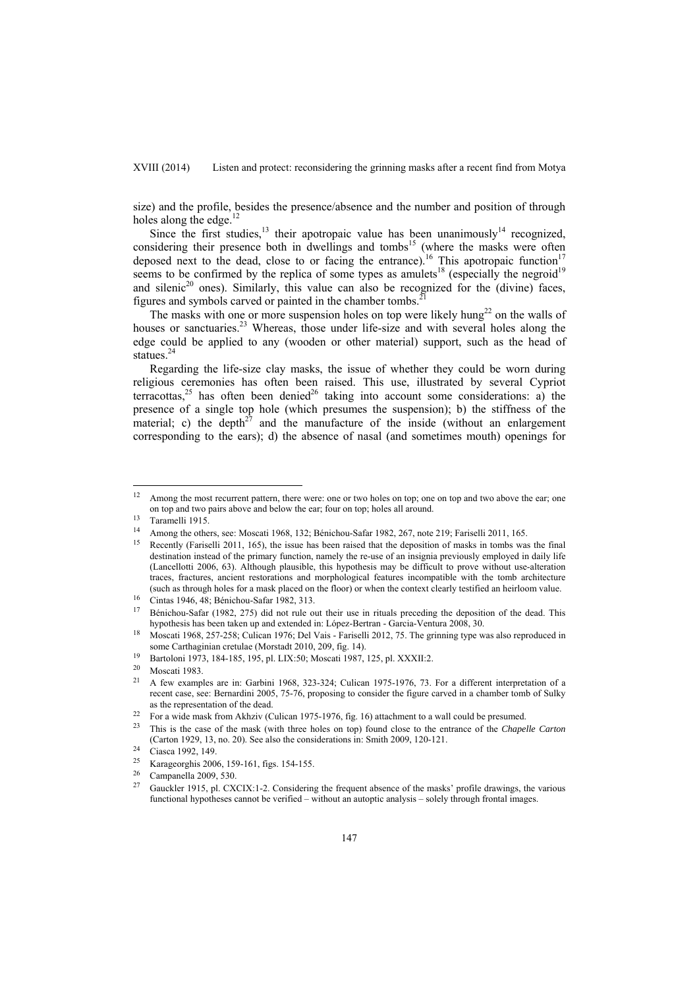size) and the profile, besides the presence/absence and the number and position of through holes along the edge.<sup>12</sup>

Since the first studies, $^{13}$  their apotropaic value has been unanimously<sup>14</sup> recognized, considering their presence both in dwellings and tombs<sup>15</sup> (where the masks were often deposed next to the dead, close to or facing the entrance).<sup>16</sup> This apotropaic function<sup>17</sup> seems to be confirmed by the replica of some types as amulets<sup>18</sup> (especially the negroid<sup>19</sup>) and silenic<sup>20</sup> ones). Similarly, this value can also be recognized for the (divine) faces, figures and symbols carved or painted in the chamber tombs.<sup>21</sup>

The masks with one or more suspension holes on top were likely hung<sup>22</sup> on the walls of houses or sanctuaries.<sup>23</sup> Whereas, those under life-size and with several holes along the edge could be applied to any (wooden or other material) support, such as the head of statues.<sup>24</sup>

Regarding the life-size clay masks, the issue of whether they could be worn during religious ceremonies has often been raised. This use, illustrated by several Cypriot terracottas,<sup>25</sup> has often been denied<sup>26</sup> taking into account some considerations: a) the presence of a single top hole (which presumes the suspension); b) the stiffness of the material; c) the depth<sup>27</sup> and the manufacture of the inside (without an enlargement corresponding to the ears); d) the absence of nasal (and sometimes mouth) openings for

 $12$ Among the most recurrent pattern, there were: one or two holes on top; one on top and two above the ear; one on top and two pairs above and below the ear; four on top; holes all around. 13 Taramelli 1915.

<sup>&</sup>lt;sup>14</sup> Among the others, see: Moscati 1968, 132; Bénichou-Safar 1982, 267, note 219; Fariselli 2011, 165.<br><sup>15</sup> Recently (Fariselli 2011, 165), the issue has been raised that the deposition of masks in tombs was the final

destination instead of the primary function, namely the re-use of an insignia previously employed in daily life (Lancellotti 2006, 63). Although plausible, this hypothesis may be difficult to prove without use-alteration traces, fractures, ancient restorations and morphological features incompatible with the tomb architecture (such as through holes for a mask placed on the floor) or when the context clearly testified an heirloom value. 16 Cintas 1946, 48; Bénichou-Safar 1982, 313.

Bénichou-Safar (1982, 275) did not rule out their use in rituals preceding the deposition of the dead. This hypothesis has been taken up and extended in: López-Bertran - García-Ventura 2008, 30.

<sup>&</sup>lt;sup>18</sup> Moscati 1968, 257-258; Culican 1976; Del Vais - Fariselli 2012, 75. The grinning type was also reproduced in some Carthaginian cretulae (Morstadt 2010, 209, fig. 14).<br>
<sup>19</sup> Bartoloni 1973, 184-185, 195, pl. LIX:50; Moscati 1987, 125, pl. XXXII:2.<br>
<sup>20</sup> Moscati 1983.<br>
<sup>21</sup> A fan: proposal particle 1968, 202, 202, 202, Colliant 197

<sup>21</sup> A few examples are in: Garbini 1968, 323-324; Culican 1975-1976, 73. For a different interpretation of a recent case, see: Bernardini 2005, 75-76, proposing to consider the figure carved in a chamber tomb of Sulky as the representation of the dead.<br><sup>22</sup> For a wide mask from Akhziv (Culican 1975-1976, fig. 16) attachment to a wall could be presumed.<br><sup>23</sup> This is the case of the mask (with three holes on top) found close to the entra

<sup>(</sup>Carton 1929, 13, no. 20). See also the considerations in: Smith 2009, 120-121. 24 Ciasca 1992, 149.

<sup>25</sup> Karageorghis 2006, 159-161, figs. 154-155.

<sup>26</sup> Campanella 2009, 530.

<sup>&</sup>lt;sup>27</sup> Gauckler 1915, pl. CXCIX:1-2. Considering the frequent absence of the masks' profile drawings, the various functional hypotheses cannot be verified – without an autoptic analysis – solely through frontal images.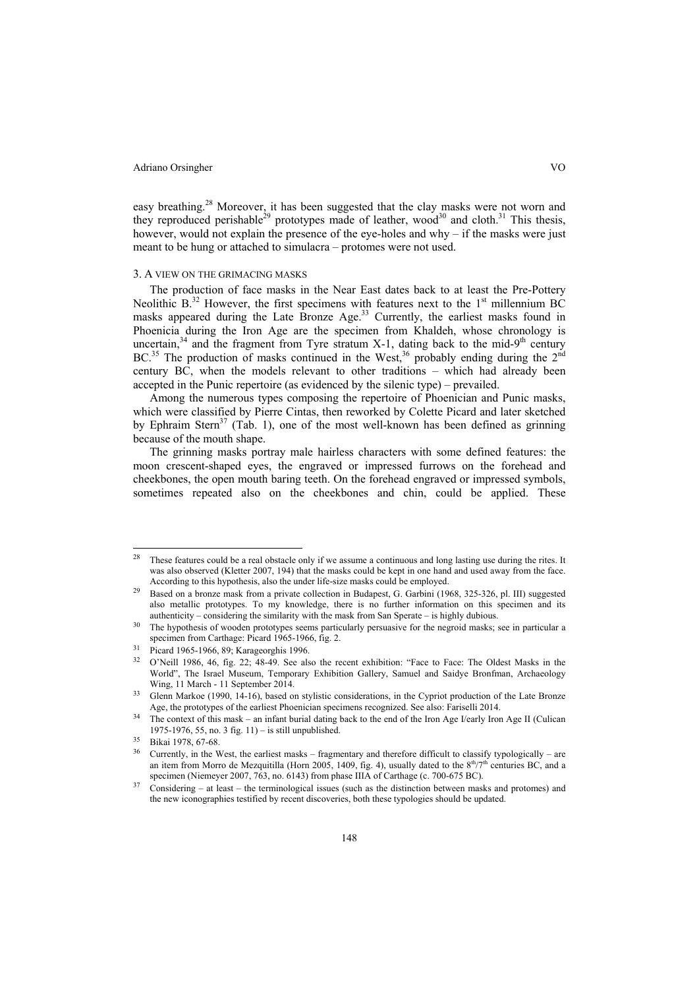easy breathing.<sup>28</sup> Moreover, it has been suggested that the clay masks were not worn and they reproduced perishable<sup>29</sup> prototypes made of leather, wood<sup>30</sup> and cloth.<sup>31</sup> This thesis, however, would not explain the presence of the eye-holes and why – if the masks were just meant to be hung or attached to simulacra – protomes were not used.

#### 3. A VIEW ON THE GRIMACING MASKS

The production of face masks in the Near East dates back to at least the Pre-Pottery Neolithic  $B$ .<sup>32</sup> However, the first specimens with features next to the 1<sup>st</sup> millennium BC masks appeared during the Late Bronze Age.<sup>33</sup> Currently, the earliest masks found in Phoenicia during the Iron Age are the specimen from Khaldeh, whose chronology is uncertain,  $34$  and the fragment from Tyre stratum X-1, dating back to the mid-9<sup>th</sup> century BC.<sup>35</sup> The production of masks continued in the West,<sup>36</sup> probably ending during the  $2^{nd}$ century BC, when the models relevant to other traditions – which had already been accepted in the Punic repertoire (as evidenced by the silenic type) – prevailed.

Among the numerous types composing the repertoire of Phoenician and Punic masks, which were classified by Pierre Cintas, then reworked by Colette Picard and later sketched by Ephraim Stern<sup>37</sup> (Tab. 1), one of the most well-known has been defined as grinning because of the mouth shape.

The grinning masks portray male hairless characters with some defined features: the moon crescent-shaped eyes, the engraved or impressed furrows on the forehead and cheekbones, the open mouth baring teeth. On the forehead engraved or impressed symbols, sometimes repeated also on the cheekbones and chin, could be applied. These

 $28$ 28 These features could be a real obstacle only if we assume a continuous and long lasting use during the rites. It was also observed (Kletter 2007, 194) that the masks could be kept in one hand and used away from the face. According to this hypothesis, also the under life-size masks could be employed.<br><sup>29</sup> Based on a bronze mask from a private collection in Budapest, G. Garbini (1968, 325-326, pl. III) suggested

also metallic prototypes. To my knowledge, there is no further information on this specimen and its authenticity – considering the similarity with the mask from San Sperate – is highly dubious.<br><sup>30</sup> The hypothesis of wooden prototypes seems particularly persuasive for the negroid masks; see in particular a

specimen from Carthage: Picard 1965-1966, fig. 2.<br><sup>31</sup> Picard 1965-1966, 89; Karageorghis 1996.<br><sup>32</sup> Qibriil 1986, 46, fig. 32, 48,49. See also the ra

<sup>32</sup> O'Neill 1986, 46, fig. 22; 48-49. See also the recent exhibition: "Face to Face: The Oldest Masks in the World", The Israel Museum, Temporary Exhibition Gallery, Samuel and Saidye Bronfman, Archaeology Wing, 11 March - 11 September 2014.<br><sup>33</sup> Glenn Markoe (1990, 14-16), based on stylistic considerations, in the Cypriot production of the Late Bronze

Age, the prototypes of the earliest Phoenician specimens recognized. See also: Fariselli 2014.<br><sup>34</sup> The context of this mask – an infant burial dating back to the end of the Iron Age I/early Iron Age II (Culican

<sup>1975-1976, 55,</sup> no. 3 fig. 11) – is still unpublished. 35 Bikai 1978, 67-68.

<sup>36</sup> Currently, in the West, the earliest masks – fragmentary and therefore difficult to classify typologically – are an item from Morro de Mezquitilla (Horn 2005, 1409, fig. 4), usually dated to the  $8<sup>th</sup>/7<sup>th</sup>$  centuries BC, and a specimen (Niemeyer 2007, 763, no. 6143) from phase IIIA of Carthage (c. 700-675 BC).<br><sup>37</sup> Considering – at least – the terminological issues (such as the distinction between masks and protomes) and

the new iconographies testified by recent discoveries, both these typologies should be updated.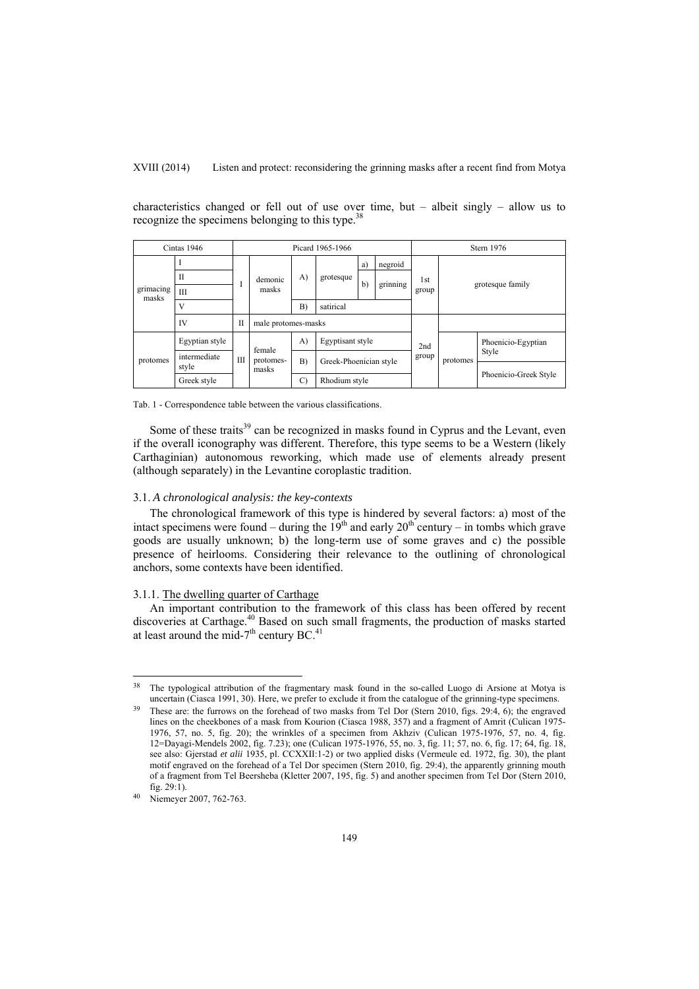characteristics changed or fell out of use over time, but – albeit singly – allow us to recognize the specimens belonging to this type.<sup>38</sup>

|  |                    | Cintas 1946    |             | Picard 1965-1966             |               |                        |    |          |              | Stern 1976       |                       |  |  |
|--|--------------------|----------------|-------------|------------------------------|---------------|------------------------|----|----------|--------------|------------------|-----------------------|--|--|
|  |                    |                |             | demonic<br>masks             | $\mathbf{A}$  | grotesque              | a) | negroid  |              |                  |                       |  |  |
|  |                    | П              |             |                              |               |                        | b) | grinning | 1st<br>group | grotesque family |                       |  |  |
|  | grimacing<br>masks | Ш              |             |                              |               |                        |    |          |              |                  |                       |  |  |
|  |                    | V              |             |                              | B)            | satirical              |    |          |              |                  |                       |  |  |
|  |                    | IV             | $_{\rm II}$ | male protomes-masks          |               |                        |    |          |              |                  |                       |  |  |
|  | protomes           | Egyptian style | Ш           | female<br>protomes-<br>masks | A)            | Egyptisant style       |    |          | 2nd<br>group | protomes         | Phoenicio-Egyptian    |  |  |
|  |                    | intermediate   |             |                              | B)            | Greek-Phoenician style |    |          |              |                  | Style                 |  |  |
|  |                    | style          |             |                              |               |                        |    |          |              |                  | Phoenicio-Greek Style |  |  |
|  |                    | Greek style    |             |                              | $\mathcal{C}$ | Rhodium style          |    |          |              |                  |                       |  |  |

Tab. 1 - Correspondence table between the various classifications.

Some of these traits<sup>39</sup> can be recognized in masks found in Cyprus and the Levant, even if the overall iconography was different. Therefore, this type seems to be a Western (likely Carthaginian) autonomous reworking, which made use of elements already present (although separately) in the Levantine coroplastic tradition.

## 3.1. *A chronological analysis: the key-contexts*

The chronological framework of this type is hindered by several factors: a) most of the intact specimens were found – during the  $19<sup>th</sup>$  and early  $20<sup>th</sup>$  century – in tombs which grave goods are usually unknown; b) the long-term use of some graves and c) the possible presence of heirlooms. Considering their relevance to the outlining of chronological anchors, some contexts have been identified.

## 3.1.1. The dwelling quarter of Carthage

An important contribution to the framework of this class has been offered by recent discoveries at Carthage.<sup>40</sup> Based on such small fragments, the production of masks started at least around the mid-7<sup>th</sup> century BC.<sup>41</sup>

The typological attribution of the fragmentary mask found in the so-called Luogo di Arsione at Motya is uncertain (Ciasca 1991, 30). Here, we prefer to exclude it from the catalogue of the grinning-type specimens.

<sup>&</sup>lt;sup>39</sup> These are: the furrows on the forehead of two masks from Tel Dor (Stern 2010, figs. 29:4, 6); the engraved lines on the cheekbones of a mask from Kourion (Ciasca 1988, 357) and a fragment of Amrit (Culican 1975- 1976, 57, no. 5, fig. 20); the wrinkles of a specimen from Akhziv (Culican 1975-1976, 57, no. 4, fig. 12=Dayagi-Mendels 2002, fig. 7.23); one (Culican 1975-1976, 55, no. 3, fig. 11; 57, no. 6, fig. 17; 64, fig. 18, see also: Gjerstad *et alii* 1935, pl. CCXXII:1-2) or two applied disks (Vermeule ed. 1972, fig. 30), the plant motif engraved on the forehead of a Tel Dor specimen (Stern 2010, fig. 29:4), the apparently grinning mouth of a fragment from Tel Beersheba (Kletter 2007, 195, fig. 5) and another specimen from Tel Dor (Stern 2010, fig. 29:1). 40 Niemeyer 2007, 762-763.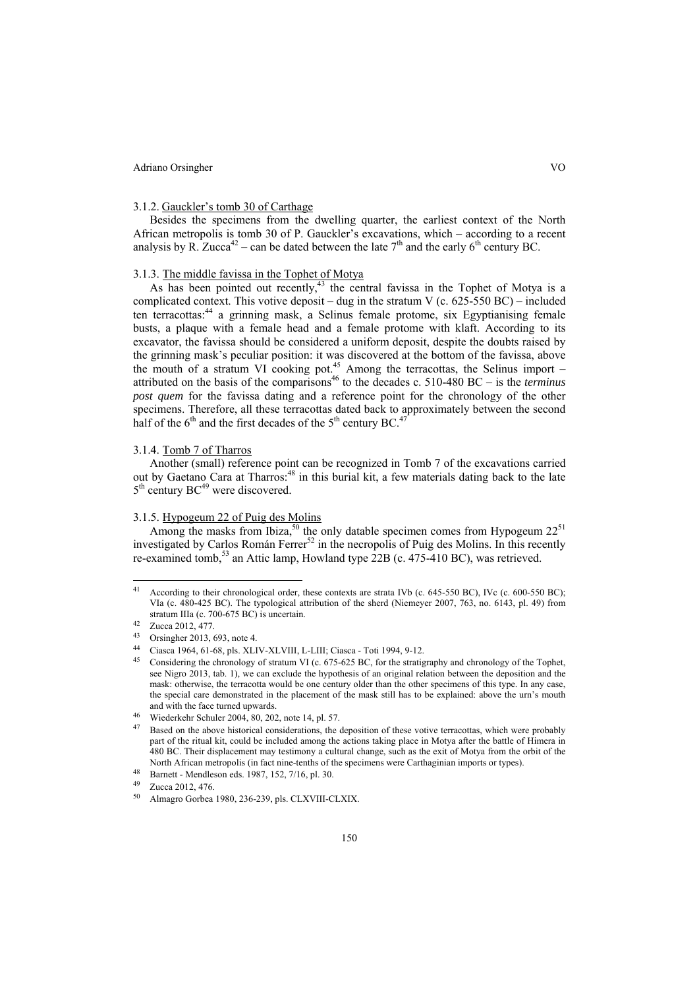#### 3.1.2. Gauckler's tomb 30 of Carthage

Besides the specimens from the dwelling quarter, the earliest context of the North African metropolis is tomb 30 of P. Gauckler's excavations, which – according to a recent analysis by R. Zucca<sup>42</sup> – can be dated between the late  $7<sup>th</sup>$  and the early 6<sup>th</sup> century BC.

#### 3.1.3. The middle favissa in the Tophet of Motya

As has been pointed out recently, $43$  the central favissa in the Tophet of Motya is a complicated context. This votive deposit – dug in the stratum V (c. 625-550 BC) – included ten terracottas:<sup>44</sup> a grinning mask, a Selinus female protome, six Egyptianising female busts, a plaque with a female head and a female protome with klaft. According to its excavator, the favissa should be considered a uniform deposit, despite the doubts raised by the grinning mask's peculiar position: it was discovered at the bottom of the favissa, above the mouth of a stratum VI cooking pot.<sup>45</sup> Among the terracottas, the Selinus import – attributed on the basis of the comparisons<sup>46</sup> to the decades c. 510-480 BC – is the *terminus post quem* for the favissa dating and a reference point for the chronology of the other specimens. Therefore, all these terracottas dated back to approximately between the second half of the  $6<sup>th</sup>$  and the first decades of the  $5<sup>th</sup>$  century BC.<sup>47</sup>

#### 3.1.4. Tomb 7 of Tharros

Another (small) reference point can be recognized in Tomb 7 of the excavations carried out by Gaetano Cara at Tharros:<sup>48</sup> in this burial kit, a few materials dating back to the late  $5<sup>th</sup>$  century BC<sup>49</sup> were discovered.

## 3.1.5. Hypogeum 22 of Puig des Molins

Among the masks from Ibiza,<sup>50</sup> the only datable specimen comes from Hypogeum  $22^{51}$ investigated by Carlos Román Ferrer $52$  in the necropolis of Puig des Molins. In this recently re-examined tomb, $53$  an Attic lamp, Howland type 22B (c. 475-410 BC), was retrieved.

<sup>&</sup>lt;sup>41</sup> According to their chronological order, these contexts are strata IVb (c. 645-550 BC), IVc (c. 600-550 BC); VIa (c. 480-425 BC). The typological attribution of the sherd (Niemeyer 2007, 763, no. 6143, pl. 49) from stratum IIIa (c. 700-675 BC) is uncertain. 42 Zucca 2012, 477.

<sup>43</sup> Orsingher 2013, 693, note 4.<br>44 Ciasca 1964, 61-68, pls. XLIV-XLVIII, L-LIII; Ciasca - Toti 1994, 9-12.

<sup>&</sup>lt;sup>45</sup> Considering the chronology of stratum VI (c. 675-625 BC, for the stratigraphy and chronology of the Tophet, see Nigro 2013, tab. 1), we can exclude the hypothesis of an original relation between the deposition and the mask: otherwise, the terracotta would be one century older than the other specimens of this type. In any case, the special care demonstrated in the placement of the mask still has to be explained: above the urn's mouth and with the face turned upwards. 46 Wiederkehr Schuler 2004, 80, 202, note 14, pl. 57.

<sup>&</sup>lt;sup>47</sup> Based on the above historical considerations, the deposition of these votive terracottas, which were probably part of the ritual kit, could be included among the actions taking place in Motya after the battle of Himera in 480 BC. Their displacement may testimony a cultural change, such as the exit of Motya from the orbit of the North African metropolis (in fact nine-tenths of the specimens were Carthaginian imports or types).<br><sup>48</sup> Barnett - Mendleson eds. 1987, 152, 7/16, pl. 30.<br><sup>49</sup> Zuese 2012, 476

Zucca 2012, 476.

<sup>50</sup> Almagro Gorbea 1980, 236-239, pls. CLXVIII-CLXIX.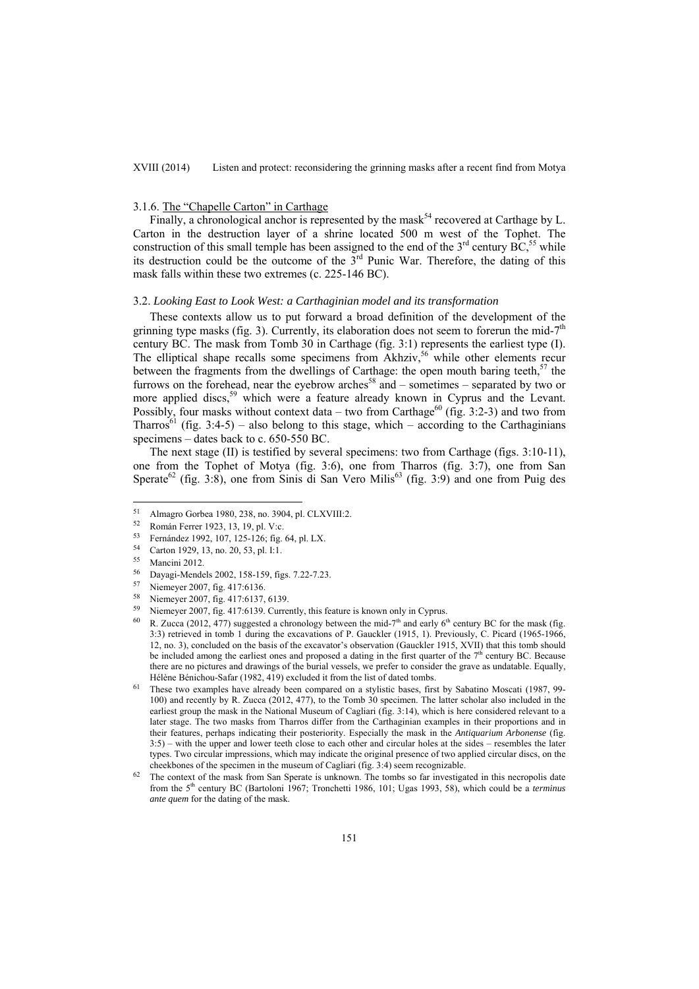## 3.1.6. The "Chapelle Carton" in Carthage

Finally, a chronological anchor is represented by the mask<sup>54</sup> recovered at Carthage by L. Carton in the destruction layer of a shrine located 500 m west of the Tophet. The construction of this small temple has been assigned to the end of the  $3<sup>rd</sup>$  century BC,<sup>55</sup> while its destruction could be the outcome of the  $3<sup>rd</sup>$  Punic War. Therefore, the dating of this mask falls within these two extremes (c. 225-146 BC).

## 3.2. *Looking East to Look West: a Carthaginian model and its transformation*

These contexts allow us to put forward a broad definition of the development of the grinning type masks (fig. 3). Currently, its elaboration does not seem to forerun the mid-7<sup>th</sup> century BC. The mask from Tomb 30 in Carthage (fig. 3:1) represents the earliest type (I). The elliptical shape recalls some specimens from Akhziv,<sup>56</sup> while other elements recur between the fragments from the dwellings of Carthage: the open mouth baring teeth, $57$  the furrows on the forehead, near the eyebrow arches<sup>58</sup> and – sometimes – separated by two or more applied discs,<sup>59</sup> which were a feature already known in Cyprus and the Levant. Possibly, four masks without context data – two from Carthage<sup>60</sup> (fig. 3:2-3) and two from Tharros<sup>61</sup> (fig. 3:4-5) – also belong to this stage, which – according to the Carthaginians specimens – dates back to c. 650-550 BC.

The next stage (II) is testified by several specimens: two from Carthage (figs. 3:10-11), one from the Tophet of Motya (fig. 3:6), one from Tharros (fig. 3:7), one from San Sperate<sup>62</sup> (fig. 3:8), one from Sinis di San Vero Milis<sup>63</sup> (fig. 3:9) and one from Puig des

 $51$ <sup>51</sup> Almagro Gorbea 1980, 238, no. 3904, pl. CLXVIII:2.<br><sup>52</sup> Pamán Farrar 1922, 12, 19, pl. *Via* 

<sup>52</sup> Román Ferrer 1923, 13, 19, pl. V:c.<br>53 Expediant 1992, 197, 125, 126, 55

<sup>53</sup> Fernández 1992, 107, 125-126; fig. 64, pl. LX.<br> $54$  Cortan 1000, 12, pp. 20, 52, pl. L1.

<sup>&</sup>lt;sup>54</sup> Carton 1929, 13, no. 20, 53, pl. I:1.<br><sup>55</sup> Mangini 2012

 $^{55}$  Mancini 2012.

<sup>&</sup>lt;sup>56</sup> Dayagi-Mendels 2002, 158-159, figs. 7.22-7.23.<br><sup>57</sup> Niemanne 2007, fig. 417/(12)

 $^{57}$  Niemeyer 2007, fig. 417:6136.<br> $^{58}$  Niemeyer 2007, fig. 417:6137.

Niemeyer 2007, fig. 417:6137, 6139.

<sup>&</sup>lt;sup>59</sup> Niemeyer 2007, fig. 417:6139. Currently, this feature is known only in Cyprus.

R. Zucca (2012, 477) suggested a chronology between the mid-7<sup>th</sup> and early 6<sup>th</sup> century BC for the mask (fig. 3:3) retrieved in tomb 1 during the excavations of P. Gauckler (1915, 1). Previously, C. Picard (1965-1966, 12, no. 3), concluded on the basis of the excavator's observation (Gauckler 1915, XVII) that this tomb should be included among the earliest ones and proposed a dating in the first quarter of the  $7<sup>th</sup>$  century BC. Because there are no pictures and drawings of the burial vessels, we prefer to consider the grave as undatable. Equally, Hélène Bénichou-Safar (1982, 419) excluded it from the list of dated tombs.<br><sup>61</sup> These two examples have already been compared on a stylistic bases, first by Sabatino Moscati (1987, 99-

<sup>100)</sup> and recently by R. Zucca (2012, 477), to the Tomb 30 specimen. The latter scholar also included in the earliest group the mask in the National Museum of Cagliari (fig. 3:14), which is here considered relevant to a later stage. The two masks from Tharros differ from the Carthaginian examples in their proportions and in their features, perhaps indicating their posteriority. Especially the mask in the *Antiquarium Arbonense* (fig. 3:5) – with the upper and lower teeth close to each other and circular holes at the sides – resembles the later types. Two circular impressions, which may indicate the original presence of two applied circular discs, on the cheekbones of the specimen in the museum of Cagliari (fig. 3:4) seem recognizable.

The context of the mask from San Sperate is unknown. The tombs so far investigated in this necropolis date from the 5th century BC (Bartoloni 1967; Tronchetti 1986, 101; Ugas 1993, 58), which could be a *terminus ante quem* for the dating of the mask.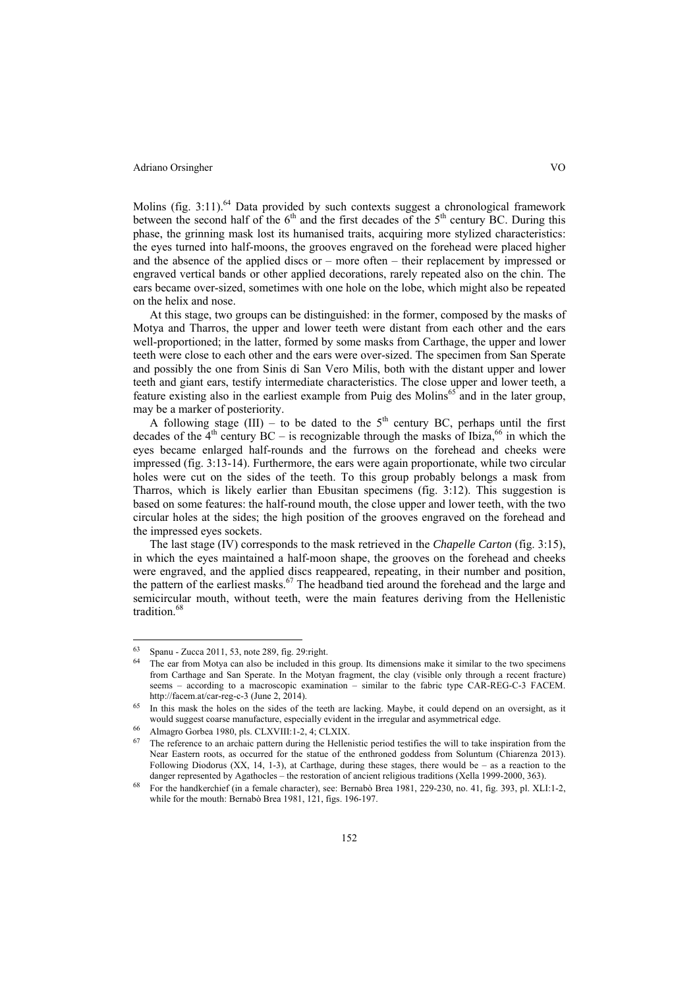Molins (fig.  $3:11$ ).<sup>64</sup> Data provided by such contexts suggest a chronological framework between the second half of the  $6<sup>th</sup>$  and the first decades of the  $5<sup>th</sup>$  century BC. During this phase, the grinning mask lost its humanised traits, acquiring more stylized characteristics: the eyes turned into half-moons, the grooves engraved on the forehead were placed higher and the absence of the applied discs or – more often – their replacement by impressed or engraved vertical bands or other applied decorations, rarely repeated also on the chin. The ears became over-sized, sometimes with one hole on the lobe, which might also be repeated on the helix and nose.

At this stage, two groups can be distinguished: in the former, composed by the masks of Motya and Tharros, the upper and lower teeth were distant from each other and the ears well-proportioned; in the latter, formed by some masks from Carthage, the upper and lower teeth were close to each other and the ears were over-sized. The specimen from San Sperate and possibly the one from Sinis di San Vero Milis, both with the distant upper and lower teeth and giant ears, testify intermediate characteristics. The close upper and lower teeth, a feature existing also in the earliest example from Puig des Molins<sup>65</sup> and in the later group, may be a marker of posteriority.

A following stage (III) – to be dated to the  $5<sup>th</sup>$  century BC, perhaps until the first decades of the  $4<sup>th</sup>$  century BC – is recognizable through the masks of Ibiza, <sup>66</sup> in which the eyes became enlarged half-rounds and the furrows on the forehead and cheeks were impressed (fig. 3:13-14). Furthermore, the ears were again proportionate, while two circular holes were cut on the sides of the teeth. To this group probably belongs a mask from Tharros, which is likely earlier than Ebusitan specimens (fig. 3:12). This suggestion is based on some features: the half-round mouth, the close upper and lower teeth, with the two circular holes at the sides; the high position of the grooves engraved on the forehead and the impressed eyes sockets.

The last stage (IV) corresponds to the mask retrieved in the *Chapelle Carton* (fig. 3:15), in which the eyes maintained a half-moon shape, the grooves on the forehead and cheeks were engraved, and the applied discs reappeared, repeating, in their number and position, the pattern of the earliest masks.<sup>67</sup> The headband tied around the forehead and the large and semicircular mouth, without teeth, were the main features deriving from the Hellenistic tradition.<sup>68</sup>

<sup>63</sup> Spanu - Zucca 2011, 53, note 289, fig. 29:right.

<sup>&</sup>lt;sup>64</sup> The ear from Motya can also be included in this group. Its dimensions make it similar to the two specimens from Carthage and San Sperate. In the Motyan fragment, the clay (visible only through a recent fracture) seems – according to a macroscopic examination – similar to the fabric type CAR-REG-C-3 FACEM.

http://facem.at/car-reg-c-3 (June 2, 2014).<br>In this mask the holes on the sides of the teeth are lacking. Maybe, it could depend on an oversight, as it would suggest coarse manufacture, especially evident in the irregular and asymmetrical edge.<br>
<sup>66</sup> Almagro Gorbea 1980, pls. CLXVIII:1-2, 4; CLXIX.<br>
<sup>67</sup> The reference to an erabhic pattern during the Hellenistic period te

The reference to an archaic pattern during the Hellenistic period testifies the will to take inspiration from the Near Eastern roots, as occurred for the statue of the enthroned goddess from Soluntum (Chiarenza 2013). Following Diodorus (XX, 14, 1-3), at Carthage, during these stages, there would be – as a reaction to the danger represented by Agathocles – the restoration of ancient religious traditions (Xella 1999-2000, 363). For the handkerchief (in a female character), see: Bernabò Brea 1981, 229-230, no. 41, fig. 393, pl. XLI:1-2,

while for the mouth: Bernabò Brea 1981, 121, figs. 196-197.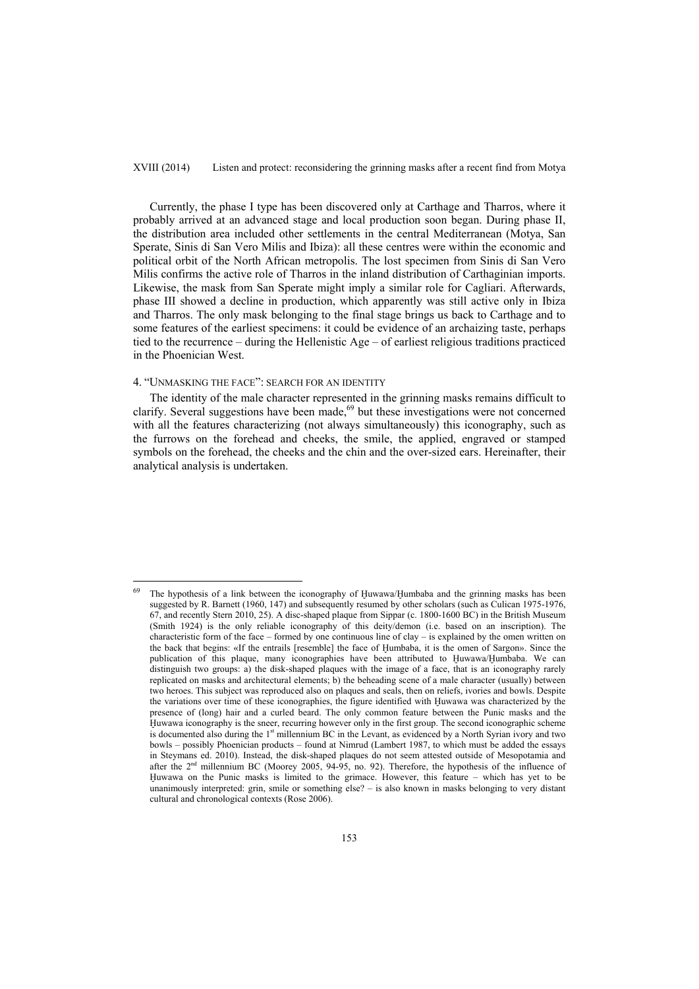Currently, the phase I type has been discovered only at Carthage and Tharros, where it probably arrived at an advanced stage and local production soon began. During phase II, the distribution area included other settlements in the central Mediterranean (Motya, San Sperate, Sinis di San Vero Milis and Ibiza): all these centres were within the economic and political orbit of the North African metropolis. The lost specimen from Sinis di San Vero Milis confirms the active role of Tharros in the inland distribution of Carthaginian imports. Likewise, the mask from San Sperate might imply a similar role for Cagliari. Afterwards, phase III showed a decline in production, which apparently was still active only in Ibiza and Tharros. The only mask belonging to the final stage brings us back to Carthage and to some features of the earliest specimens: it could be evidence of an archaizing taste, perhaps tied to the recurrence – during the Hellenistic Age – of earliest religious traditions practiced in the Phoenician West.

## 4. "UNMASKING THE FACE": SEARCH FOR AN IDENTITY

 $\overline{a}$ 

The identity of the male character represented in the grinning masks remains difficult to clarify. Several suggestions have been made,  $69$  but these investigations were not concerned with all the features characterizing (not always simultaneously) this iconography, such as the furrows on the forehead and cheeks, the smile, the applied, engraved or stamped symbols on the forehead, the cheeks and the chin and the over-sized ears. Hereinafter, their analytical analysis is undertaken.

 $69$  The hypothesis of a link between the iconography of Huwawa/Humbaba and the grinning masks has been suggested by R. Barnett (1960, 147) and subsequently resumed by other scholars (such as Culican 1975-1976, 67, and recently Stern 2010, 25). A disc-shaped plaque from Sippar (c. 1800-1600 BC) in the British Museum (Smith 1924) is the only reliable iconography of this deity/demon (i.e. based on an inscription). The characteristic form of the face – formed by one continuous line of clay – is explained by the omen written on the back that begins: «If the entrails [resemble] the face of Ḫumbaba, it is the omen of Sargon». Since the publication of this plaque, many iconographies have been attributed to Huwawa/Humbaba. We can distinguish two groups: a) the disk-shaped plaques with the image of a face, that is an iconography rarely replicated on masks and architectural elements; b) the beheading scene of a male character (usually) between two heroes. This subject was reproduced also on plaques and seals, then on reliefs, ivories and bowls. Despite the variations over time of these iconographies, the figure identified with Huwawa was characterized by the presence of (long) hair and a curled beard. The only common feature between the Punic masks and the Ḫuwawa iconography is the sneer, recurring however only in the first group. The second iconographic scheme is documented also during the 1<sup>st</sup> millennium BC in the Levant, as evidenced by a North Syrian ivory and two bowls – possibly Phoenician products – found at Nimrud (Lambert 1987, to which must be added the essays in Steymans ed. 2010). Instead, the disk-shaped plaques do not seem attested outside of Mesopotamia and after the 2nd millennium BC (Moorey 2005, 94-95, no. 92). Therefore, the hypothesis of the influence of Ḫuwawa on the Punic masks is limited to the grimace. However, this feature – which has yet to be unanimously interpreted: grin, smile or something else? – is also known in masks belonging to very distant cultural and chronological contexts (Rose 2006).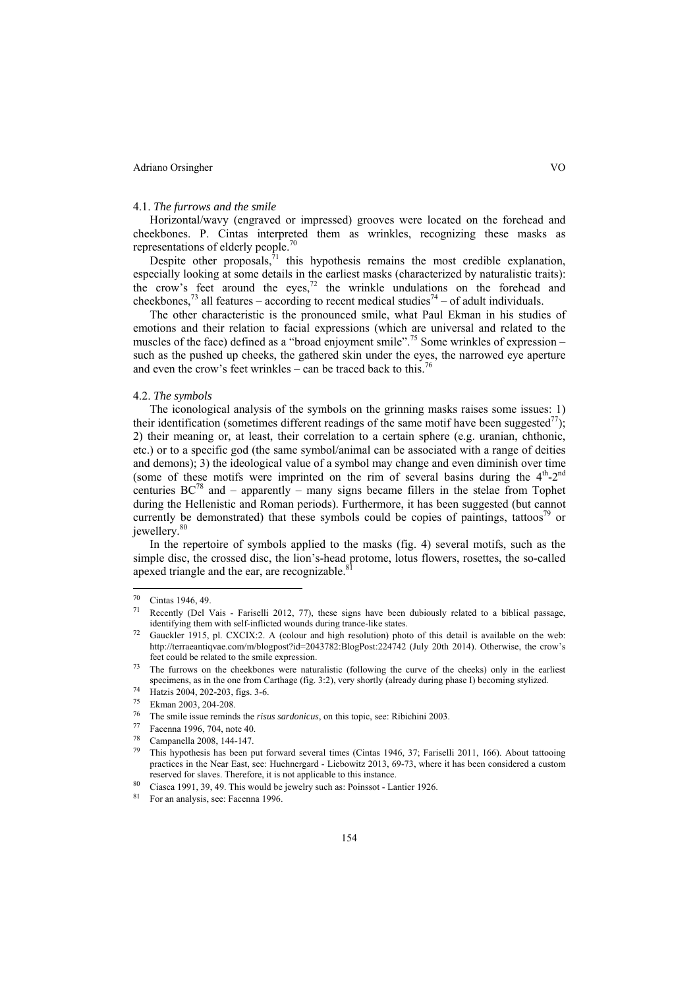#### 4.1. *The furrows and the smile*

Horizontal/wavy (engraved or impressed) grooves were located on the forehead and cheekbones. P. Cintas interpreted them as wrinkles, recognizing these masks as representations of elderly people.<sup>70</sup>

Despite other proposals, $\frac{1}{1}$  this hypothesis remains the most credible explanation, especially looking at some details in the earliest masks (characterized by naturalistic traits): the crow's feet around the eyes,<sup>72</sup> the wrinkle undulations on the forehead and cheekbones,<sup>73</sup> all features – according to recent medical studies<sup>74</sup> – of adult individuals.

The other characteristic is the pronounced smile, what Paul Ekman in his studies of emotions and their relation to facial expressions (which are universal and related to the muscles of the face) defined as a "broad enjoyment smile".<sup>75</sup> Some wrinkles of expression – such as the pushed up cheeks, the gathered skin under the eyes, the narrowed eye aperture and even the crow's feet wrinkles – can be traced back to this.<sup>76</sup>

#### 4.2. *The symbols*

The iconological analysis of the symbols on the grinning masks raises some issues: 1) their identification (sometimes different readings of the same motif have been suggested<sup>77</sup>): 2) their meaning or, at least, their correlation to a certain sphere (e.g. uranian, chthonic, etc.) or to a specific god (the same symbol/animal can be associated with a range of deities and demons); 3) the ideological value of a symbol may change and even diminish over time (some of these motifs were imprinted on the rim of several basins during the  $4<sup>th</sup>-2<sup>nd</sup>$ centuries  $BC^{78}$  and – apparently – many signs became fillers in the stelae from Tophet during the Hellenistic and Roman periods). Furthermore, it has been suggested (but cannot currently be demonstrated) that these symbols could be copies of paintings, tattoos<sup>79</sup> or jewellery.<sup>80</sup>

In the repertoire of symbols applied to the masks (fig. 4) several motifs, such as the simple disc, the crossed disc, the lion's-head protome, lotus flowers, rosettes, the so-called apexed triangle and the ear, are recognizable. $8$ 

 $^{70}$  Cintas 1946, 49.

Recently (Del Vais - Fariselli 2012, 77), these signs have been dubiously related to a biblical passage, identifying them with self-inflicted wounds during trance-like states.

<sup>&</sup>lt;sup>72</sup> Gauckler 1915, pl. CXCIX:2. A (colour and high resolution) photo of this detail is available on the web: http://terraeantiqvae.com/m/blogpost?id=2043782:BlogPost:224742 (July 20th 2014). Otherwise, the crow's feet could be related to the smile expression.<br><sup>73</sup> The furrows on the cheekbones were naturalistic (following the curve of the cheeks) only in the earliest

specimens, as in the one from Carthage (fig. 3:2), very shortly (already during phase I) becoming stylized.<br>
<sup>74</sup> Hatzis 2004, 202-203, figs. 3-6.

 $^{75}$  Ekman 2003, 204-208.

<sup>76</sup> The smile issue reminds the *risus sardonicus*, on this topic, see: Ribichini 2003. 77 Facenna 1996, 704, note 40.

Campanella 2008, 144-147.

<sup>79</sup> This hypothesis has been put forward several times (Cintas 1946, 37; Fariselli 2011, 166). About tattooing practices in the Near East, see: Huehnergard - Liebowitz 2013, 69-73, where it has been considered a custom reserved for slaves. Therefore, it is not applicable to this instance.<br>Ciasca 1991, 39, 49. This would be jewelry such as: Poinssot - Lantier 1926.

<sup>81</sup> For an analysis, see: Facenna 1996.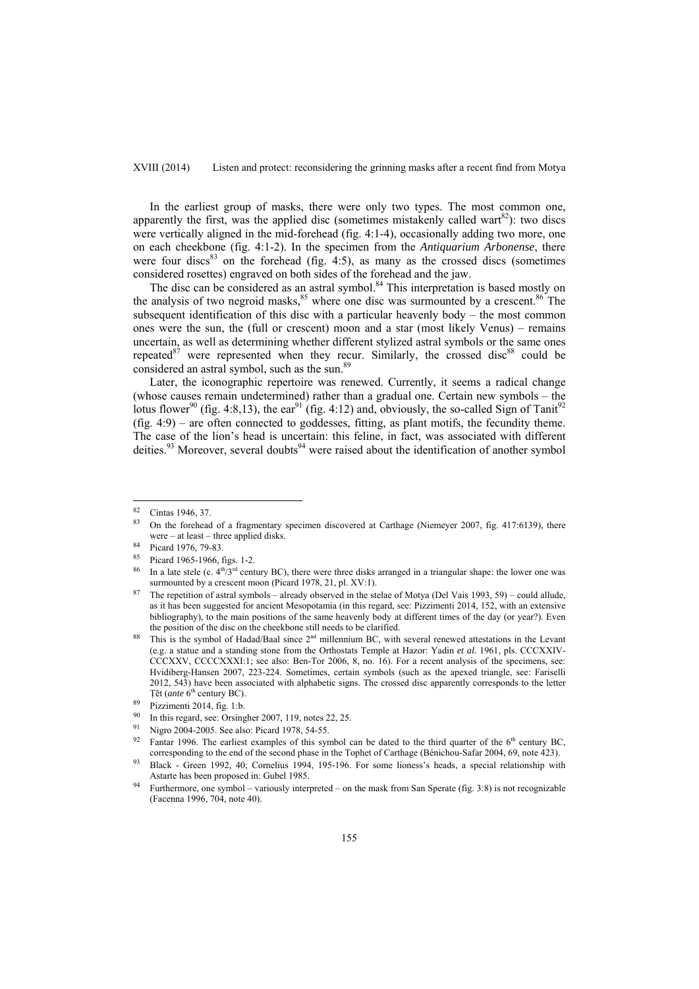In the earliest group of masks, there were only two types. The most common one, apparently the first, was the applied disc (sometimes mistakenly called wart $82$ ): two discs were vertically aligned in the mid-forehead (fig. 4:1-4), occasionally adding two more, one on each cheekbone (fig. 4:1-2). In the specimen from the *Antiquarium Arbonense*, there were four discs<sup>83</sup> on the forehead (fig. 4:5), as many as the crossed discs (sometimes considered rosettes) engraved on both sides of the forehead and the jaw.

The disc can be considered as an astral symbol.<sup>84</sup> This interpretation is based mostly on the analysis of two negroid masks,  $85$  where one disc was surmounted by a crescent.  $86$  The subsequent identification of this disc with a particular heavenly body – the most common ones were the sun, the (full or crescent) moon and a star (most likely Venus) – remains uncertain, as well as determining whether different stylized astral symbols or the same ones repeated $87$  were represented when they recur. Similarly, the crossed disc<sup>88</sup> could be considered an astral symbol, such as the sun.<sup>89</sup>

Later, the iconographic repertoire was renewed. Currently, it seems a radical change (whose causes remain undetermined) rather than a gradual one. Certain new symbols – the lotus flower<sup>90</sup> (fig. 4:8,13), the ear<sup>91</sup> (fig. 4:12) and, obviously, the so-called Sign of Tanit<sup>92</sup> (fig. 4:9) – are often connected to goddesses, fitting, as plant motifs, the fecundity theme. The case of the lion's head is uncertain: this feline, in fact, was associated with different deities.<sup>93</sup> Moreover, several doubts<sup>94</sup> were raised about the identification of another symbol

 $\begin{array}{c} 82 \\ 83 \end{array}$  Cintas 1946, 37.

On the forehead of a fragmentary specimen discovered at Carthage (Niemeyer 2007, fig. 417:6139), there were – at least – three applied disks.<br><sup>84</sup> Picard 1976, 79-83.

Picard 1965-1966, figs. 1-2.

In a late stele (c.  $4<sup>th</sup>/3<sup>rd</sup>$  century BC), there were three disks arranged in a triangular shape: the lower one was surmounted by a crescent moon (Picard 1978, 21, pl. XV:1).<br><sup>87</sup> The repetition of astral symbols – already observed in the stelae of Motya (Del Vais 1993, 59) – could allude,

as it has been suggested for ancient Mesopotamia (in this regard, see: Pizzimenti 2014, 152, with an extensive bibliography), to the main positions of the same heavenly body at different times of the day (or year?). Even the position of the disc on the cheekbone still needs to be clarified.<br>This is the symbol of Hadad/Baal since  $2<sup>nd</sup>$  millennium BC, with several renewed attestations in the Levant

<sup>(</sup>e.g. a statue and a standing stone from the Orthostats Temple at Hazor: Yadin *et al.* 1961, pls. CCCXXIV-CCCXXV, CCCCXXXI:1; see also: Ben-Tor 2006, 8, no. 16). For a recent analysis of the specimens, see: Hvidiberg-Hansen 2007, 223-224. Sometimes, certain symbols (such as the apexed triangle, see: Fariselli 2012, 543) have been associated with alphabetic signs. The crossed disc apparently corresponds to the letter Tēt (*ante* 6<sup>th</sup> century BC).<br><sup>89</sup> Pizzimenti 2014, fig. 1:b.

In this regard, see: Orsingher  $2007$ , 119, notes 22, 25.

<sup>&</sup>lt;sup>91</sup> Nigro 2004-2005. See also: Picard 1978, 54-55.

Fantar 1996. The earliest examples of this symbol can be dated to the third quarter of the 6<sup>th</sup> century BC, corresponding to the end of the second phase in the Tophet of Carthage (Bénichou-Safar 2004, 69, note 423).<br><sup>93</sup> Black - Green 1992, 40; Cornelius 1994, 195-196. For some lioness's heads, a special relationship with

Astarte has been proposed in: Gubel 1985.<br><sup>94</sup> Furthermore, one symbol – variously interpreted – on the mask from San Sperate (fig. 3:8) is not recognizable

<sup>(</sup>Facenna 1996, 704, note 40).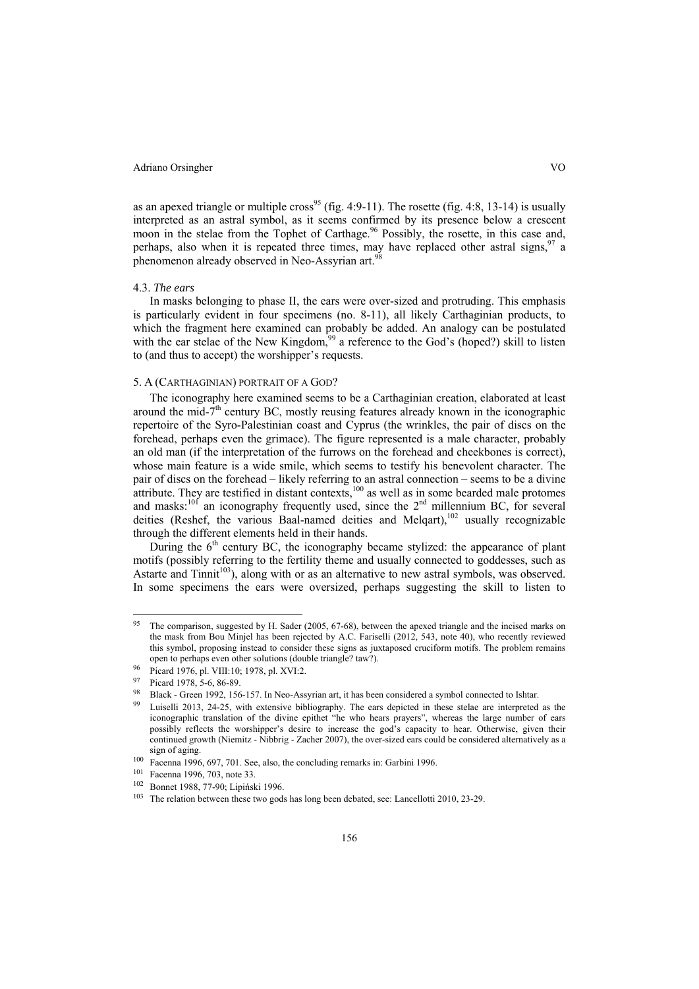as an apexed triangle or multiple cross<sup>95</sup> (fig. 4:9-11). The rosette (fig. 4:8, 13-14) is usually interpreted as an astral symbol, as it seems confirmed by its presence below a crescent moon in the stelae from the Tophet of Carthage.<sup>96</sup> Possibly, the rosette, in this case and, perhaps, also when it is repeated three times, may have replaced other astral signs,  $97$  a phenomenon already observed in Neo-Assyrian art.<sup>9</sup>

#### 4.3. *The ears*

In masks belonging to phase II, the ears were over-sized and protruding. This emphasis is particularly evident in four specimens (no. 8-11), all likely Carthaginian products, to which the fragment here examined can probably be added. An analogy can be postulated with the ear stelae of the New Kingdom,<sup>99</sup> a reference to the God's (hoped?) skill to listen to (and thus to accept) the worshipper's requests.

## 5. A (CARTHAGINIAN) PORTRAIT OF A GOD?

The iconography here examined seems to be a Carthaginian creation, elaborated at least around the mid- $7<sup>th</sup>$  century BC, mostly reusing features already known in the iconographic repertoire of the Syro-Palestinian coast and Cyprus (the wrinkles, the pair of discs on the forehead, perhaps even the grimace). The figure represented is a male character, probably an old man (if the interpretation of the furrows on the forehead and cheekbones is correct), whose main feature is a wide smile, which seems to testify his benevolent character. The pair of discs on the forehead – likely referring to an astral connection – seems to be a divine attribute. They are testified in distant contexts, $100$  as well as in some bearded male protomes and masks:<sup>101</sup> an iconography frequently used, since the  $2<sup>nd</sup>$  millennium BC, for several deities (Reshef, the various Baal-named deities and Melqart), $102$  usually recognizable through the different elements held in their hands.

During the  $6<sup>th</sup>$  century BC, the iconography became stylized: the appearance of plant motifs (possibly referring to the fertility theme and usually connected to goddesses, such as Astarte and Tinnit<sup>103</sup>), along with or as an alternative to new astral symbols, was observed. In some specimens the ears were oversized, perhaps suggesting the skill to listen to

<sup>95</sup> 95 The comparison, suggested by H. Sader (2005, 67-68), between the apexed triangle and the incised marks on the mask from Bou Minjel has been rejected by A.C. Fariselli (2012, 543, note 40), who recently reviewed this symbol, proposing instead to consider these signs as juxtaposed cruciform motifs. The problem remains open to perhaps even other solutions (double triangle? taw?).<br><sup>96</sup> Picard 1976, pl. VIII:10; 1978, pl. XVI:2.<br><sup>97</sup> Picard 1979, 5.6.96.96.

Picard 1978, 5-6, 86-89.

Black - Green 1992, 156-157. In Neo-Assyrian art, it has been considered a symbol connected to Ishtar. Luiselli 2013, 24-25, with extensive bibliography. The ears depicted in these stelae are interpreted as the iconographic translation of the divine epithet "he who hears prayers", whereas the large number of ears possibly reflects the worshipper's desire to increase the god's capacity to hear. Otherwise, given their continued growth (Niemitz - Nibbrig - Zacher 2007), the over-sized ears could be considered alternatively as a

sign of aging.<br>
<sup>100</sup> Facenna 1996, 697, 701. See, also, the concluding remarks in: Garbini 1996.<br>
<sup>101</sup> Facenna 1996, 703, note 33.<br>
<sup>102</sup> Bonnet 1988, 77-90; Lipiński 1996.<br>
<sup>102</sup> Bonnet 1988, 77-90; Lipiński 1996.<br>
<sup>10</sup>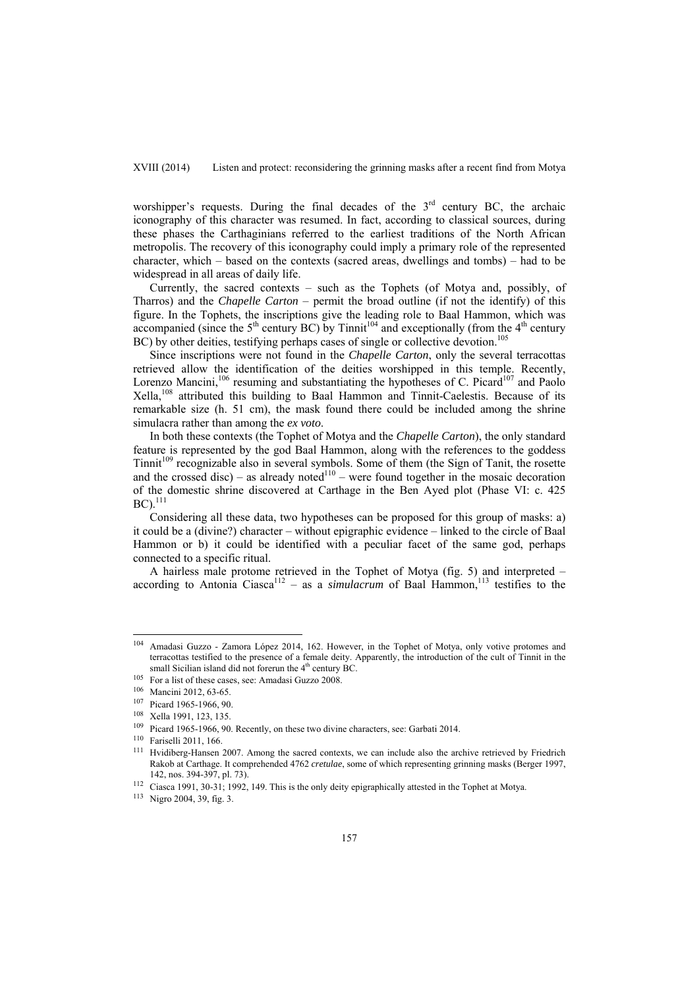worshipper's requests. During the final decades of the  $3<sup>rd</sup>$  century BC, the archaic iconography of this character was resumed. In fact, according to classical sources, during these phases the Carthaginians referred to the earliest traditions of the North African metropolis. The recovery of this iconography could imply a primary role of the represented character, which – based on the contexts (sacred areas, dwellings and tombs) – had to be widespread in all areas of daily life.

Currently, the sacred contexts – such as the Tophets (of Motya and, possibly, of Tharros) and the *Chapelle Carton* – permit the broad outline (if not the identify) of this figure. In the Tophets, the inscriptions give the leading role to Baal Hammon, which was accompanied (since the  $5<sup>th</sup>$  century BC) by Tinnit<sup>104</sup> and exceptionally (from the  $4<sup>th</sup>$  century BC) by other deities, testifying perhaps cases of single or collective devotion.<sup>105</sup>

Since inscriptions were not found in the *Chapelle Carton*, only the several terracottas retrieved allow the identification of the deities worshipped in this temple. Recently, Lorenzo Mancini,<sup>106</sup> resuming and substantiating the hypotheses of C. Picard<sup>107</sup> and Paolo Xella,108 attributed this building to Baal Hammon and Tinnit-Caelestis. Because of its remarkable size (h. 51 cm), the mask found there could be included among the shrine simulacra rather than among the *ex voto*.

In both these contexts (the Tophet of Motya and the *Chapelle Carton*), the only standard feature is represented by the god Baal Hammon, along with the references to the goddess  $T$ innit<sup>109</sup> recognizable also in several symbols. Some of them (the Sign of Tanit, the rosette and the crossed disc) – as already noted<sup>110</sup> – were found together in the mosaic decoration of the domestic shrine discovered at Carthage in the Ben Ayed plot (Phase VI: c. 425  $BC$ ).<sup>111</sup>

Considering all these data, two hypotheses can be proposed for this group of masks: a) it could be a (divine?) character – without epigraphic evidence – linked to the circle of Baal Hammon or b) it could be identified with a peculiar facet of the same god, perhaps connected to a specific ritual.

A hairless male protome retrieved in the Tophet of Motya (fig. 5) and interpreted – according to Antonia Ciasca<sup>112</sup> – as a *simulacrum* of Baal Hammon,<sup>113</sup> testifies to the

<sup>104</sup> Amadasi Guzzo - Zamora López 2014, 162. However, in the Tophet of Motya, only votive protomes and terracottas testified to the presence of a female deity. Apparently, the introduction of the cult of Tinnit in the

small Sicilian island did not forerun the  $4^{\text{th}}$  century BC.<br>
<sup>105</sup> For a list of these cases, see: Amadasi Guzzo 2008.<br>
<sup>106</sup> Mancini 2012, 63-65.<br>
<sup>107</sup> Picard 1965-1966, 90.<br>
Xella 1991, 123, 135.<br>
<sup>109</sup> Picard 1965 Rakob at Carthage. It comprehended 4762 *cretulae*, some of which representing grinning masks (Berger 1997, 142, nos. 394-397, pl. 73).<br>
<sup>112</sup> Ciasca 1991, 30-31; 1992, 149. This is the only deity epigraphically attested in the Tophet at Motya.<br>
<sup>113</sup> Nigro 2004, 39, fig. 3.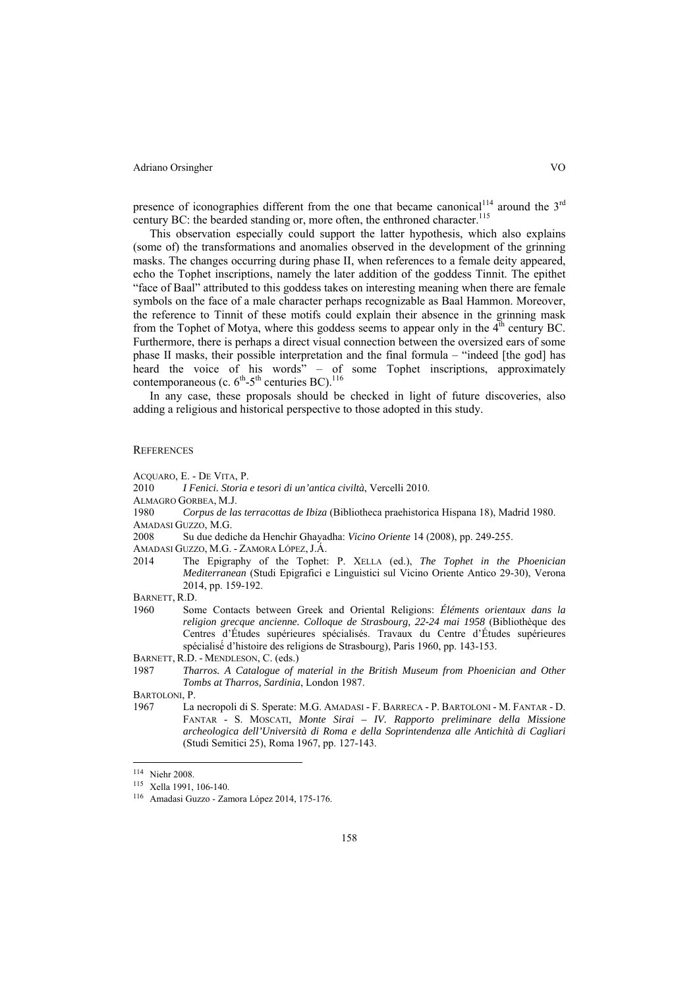presence of iconographies different from the one that became canonical<sup>114</sup> around the  $3<sup>rd</sup>$ century BC: the bearded standing or, more often, the enthroned character.<sup>115</sup>

This observation especially could support the latter hypothesis, which also explains (some of) the transformations and anomalies observed in the development of the grinning masks. The changes occurring during phase II, when references to a female deity appeared, echo the Tophet inscriptions, namely the later addition of the goddess Tinnit. The epithet "face of Baal" attributed to this goddess takes on interesting meaning when there are female symbols on the face of a male character perhaps recognizable as Baal Hammon. Moreover, the reference to Tinnit of these motifs could explain their absence in the grinning mask from the Tophet of Motya, where this goddess seems to appear only in the  $4<sup>th</sup>$  century BC. Furthermore, there is perhaps a direct visual connection between the oversized ears of some phase II masks, their possible interpretation and the final formula – "indeed [the god] has heard the voice of his words" – of some Tophet inscriptions, approximately contemporaneous (c.  $6<sup>th</sup>$ -5<sup>th</sup> centuries BC).<sup>116</sup>

In any case, these proposals should be checked in light of future discoveries, also adding a religious and historical perspective to those adopted in this study.

#### **REFERENCES**

- ACQUARO, E. DE VITA, P.
- 2010 *I Fenici. Storia e tesori di un'antica civiltà*, Vercelli 2010.
- ALMAGRO GORBEA, M.J.
- 1980 *Corpus de las terracottas de Ibiza* (Bibliotheca praehistorica Hispana 18), Madrid 1980. AMADASI GUZZO, M.G.
- 2008 Su due dediche da Henchir Ghayadha: *Vicino Oriente* 14 (2008), pp. 249-255.
- AMADASI GUZZO, M.G. ZAMORA LÓPEZ, J.Á.
- 2014 The Epigraphy of the Tophet: P. XELLA (ed.), *The Tophet in the Phoenician Mediterranean* (Studi Epigrafici e Linguistici sul Vicino Oriente Antico 29-30), Verona 2014, pp. 159-192.
- BARNETT, R.D.
- 1960 Some Contacts between Greek and Oriental Religions: *Éléments orientaux dans la religion grecque ancienne. Colloque de Strasbourg, 22-24 mai 1958* (Bibliothèque des Centres d'Études supérieures spécialisés. Travaux du Centre d'Études supérieures spécialisé́ d'histoire des religions de Strasbourg), Paris 1960, pp. 143-153.

1987 *Tharros. A Catalogue of material in the British Museum from Phoenician and Other Tombs at Tharros, Sardinia*, London 1987.

BARTOLONI, P.

1967 La necropoli di S. Sperate: M.G. AMADASI - F. BARRECA - P. BARTOLONI - M. FANTAR - D. FANTAR - S. MOSCATI, *Monte Sirai – IV. Rapporto preliminare della Missione archeologica dell'Università di Roma e della Soprintendenza alle Antichità di Cagliari* (Studi Semitici 25), Roma 1967, pp. 127-143.

BARNETT, R.D. - MENDLESON, C. (eds.)

 $114$  Niehr 2008.

<sup>&</sup>lt;sup>115</sup> Xella 1991, 106-140.<br><sup>116</sup> Amadasi Guzzo - Zamora López 2014, 175-176.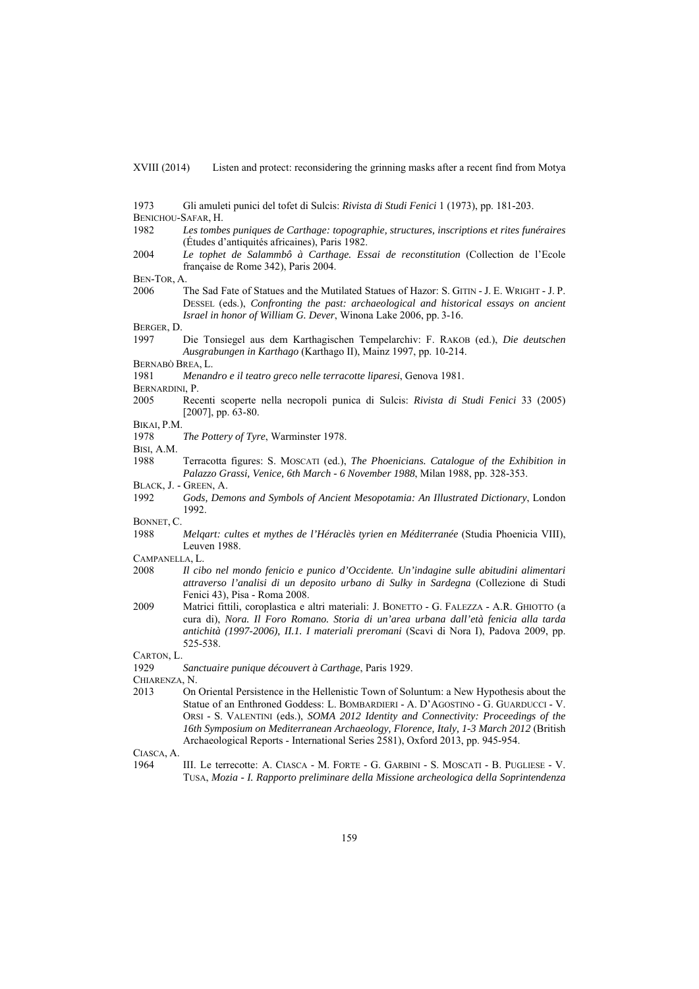1973 Gli amuleti punici del tofet di Sulcis: *Rivista di Studi Fenici* 1 (1973), pp. 181-203.

BENICHOU-SAFAR, H.

- 1982 *Les tombes puniques de Carthage: topographie, structures, inscriptions et rites funéraires* (Études d'antiquités africaines), Paris 1982.
- 2004 *Le tophet de Salammbô à Carthage. Essai de reconstitution* (Collection de l'Ecole française de Rome 342), Paris 2004.

BEN-TOR, A.

2006 The Sad Fate of Statues and the Mutilated Statues of Hazor: S. GITIN - J. E. WRIGHT - J. P. DESSEL (eds.), *Confronting the past: archaeological and historical essays on ancient Israel in honor of William G. Dever*, Winona Lake 2006, pp. 3-16.

BERGER, D.

1997 Die Tonsiegel aus dem Karthagischen Tempelarchiv: F. RAKOB (ed.), *Die deutschen Ausgrabungen in Karthago* (Karthago II), Mainz 1997, pp. 10-214.

BERNABÒ BREA, L.

1981 *Menandro e il teatro greco nelle terracotte liparesi*, Genova 1981.

BERNARDINI, P.

2005 Recenti scoperte nella necropoli punica di Sulcis: *Rivista di Studi Fenici* 33 (2005) [2007], pp. 63-80.

BIKAI, P.M.

1978 *The Pottery of Tyre*, Warminster 1978.

BISI, A.M.

1988 Terracotta figures: S. MOSCATI (ed.), *The Phoenicians. Catalogue of the Exhibition in Palazzo Grassi, Venice, 6th March - 6 November 1988*, Milan 1988, pp. 328-353.

BLACK, J. GREEN, A.

1992 *Gods, Demons and Symbols of Ancient Mesopotamia: An Illustrated Dictionary*, London 1992.

BONNET, C.

1988 *Melqart: cultes et mythes de l'Héraclès tyrien en Méditerranée* (Studia Phoenicia VIII), Leuven 1988.

CAMPANELLA, L.

- 2008 *Il cibo nel mondo fenicio e punico d'Occidente. Un'indagine sulle abitudini alimentari attraverso l'analisi di un deposito urbano di Sulky in Sardegna* (Collezione di Studi Fenici 43), Pisa - Roma 2008.
- 2009 Matrici fittili, coroplastica e altri materiali: J. BONETTO G. FALEZZA A.R. GHIOTTO (a cura di), *Nora. Il Foro Romano. Storia di un'area urbana dall'età fenicia alla tarda antichità (1997-2006), II.1. I materiali preromani* (Scavi di Nora I), Padova 2009, pp. 525-538.

CARTON, L.

1929 *Sanctuaire punique découvert à Carthage*, Paris 1929.

CHIARENZA, N.

2013 On Oriental Persistence in the Hellenistic Town of Soluntum: a New Hypothesis about the Statue of an Enthroned Goddess: L. BOMBARDIERI - A. D'AGOSTINO - G. GUARDUCCI - V. ORSI - S. VALENTINI (eds.), *SOMA 2012 Identity and Connectivity: Proceedings of the 16th Symposium on Mediterranean Archaeology, Florence, Italy, 1-3 March 2012* (British Archaeological Reports - International Series 2581), Oxford 2013, pp. 945-954.

CIASCA, A.

1964 III. Le terrecotte: A. CIASCA - M. FORTE - G. GARBINI - S. MOSCATI - B. PUGLIESE - V. TUSA, *Mozia - I. Rapporto preliminare della Missione archeologica della Soprintendenza*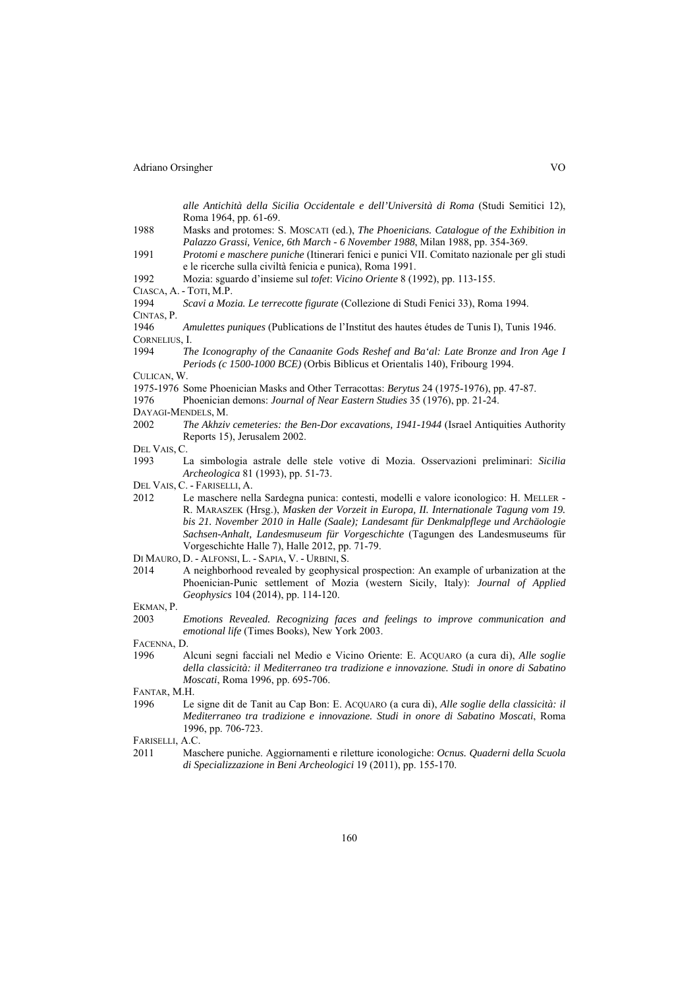*alle Antichità della Sicilia Occidentale e dell'Università di Roma* (Studi Semitici 12), Roma 1964, pp. 61-69.

- 1988 Masks and protomes: S. MOSCATI (ed.), *The Phoenicians. Catalogue of the Exhibition in Palazzo Grassi, Venice, 6th March - 6 November 1988*, Milan 1988, pp. 354-369.
- 1991 *Protomi e maschere puniche* (Itinerari fenici e punici VII. Comitato nazionale per gli studi e le ricerche sulla civiltà fenicia e punica), Roma 1991.
- 1992 Mozia: sguardo d'insieme sul *tofet*: *Vicino Oriente* 8 (1992), pp. 113-155.
- CIASCA, A. TOTI, M.P.

1994 *Scavi a Mozia. Le terrecotte figurate* (Collezione di Studi Fenici 33), Roma 1994. CINTAS, P.

1946 *Amulettes puniques* (Publications de l'Institut des hautes études de Tunis I), Tunis 1946. CORNELIUS, I.

1994 *The Iconography of the Canaanite Gods Reshef and Ba'al: Late Bronze and Iron Age I Periods (c 1500-1000 BCE)* (Orbis Biblicus et Orientalis 140), Fribourg 1994.

CULICAN, W.

1975-1976 Some Phoenician Masks and Other Terracottas: *Berytus* 24 (1975-1976), pp. 47-87.

1976 Phoenician demons: *Journal of Near Eastern Studies* 35 (1976), pp. 21-24.

- DAYAGI-MENDELS, M.
- 2002 *The Akhziv cemeteries: the Ben-Dor excavations, 1941-1944* (Israel Antiquities Authority Reports 15), Jerusalem 2002.
- DEL VAIS, C.
- 1993 La simbologia astrale delle stele votive di Mozia. Osservazioni preliminari: *Sicilia Archeologica* 81 (1993), pp. 51-73.

DEL VAIS, C. - FARISELLI, A.

- 2012 Le maschere nella Sardegna punica: contesti, modelli e valore iconologico: H. MELLER R. MARASZEK (Hrsg.), *Masken der Vorzeit in Europa, II. Internationale Tagung vom 19. bis 21. November 2010 in Halle (Saale); Landesamt für Denkmalpflege und Archäologie Sachsen-Anhalt, Landesmuseum für Vorgeschichte* (Tagungen des Landesmuseums für Vorgeschichte Halle 7), Halle 2012, pp. 71-79.
- DI MAURO, D. ALFONSI, L. SAPIA, V. URBINI, S.
- 2014 A neighborhood revealed by geophysical prospection: An example of urbanization at the Phoenician-Punic settlement of Mozia (western Sicily, Italy): *Journal of Applied Geophysics* 104 (2014), pp. 114-120.

EKMAN, P.

2003 *Emotions Revealed. Recognizing faces and feelings to improve communication and emotional life* (Times Books), New York 2003.

FACENNA, D.

1996 Alcuni segni facciali nel Medio e Vicino Oriente: E. ACQUARO (a cura di), *Alle soglie della classicità: il Mediterraneo tra tradizione e innovazione. Studi in onore di Sabatino Moscati*, Roma 1996, pp. 695-706.

FANTAR, M.H.

1996 Le signe dit de Tanit au Cap Bon: E. ACQUARO (a cura di), *Alle soglie della classicità: il Mediterraneo tra tradizione e innovazione. Studi in onore di Sabatino Moscati*, Roma 1996, pp. 706-723.

FARISELLI, A.C.

2011 Maschere puniche. Aggiornamenti e riletture iconologiche: *Ocnus. Quaderni della Scuola di Specializzazione in Beni Archeologici* 19 (2011), pp. 155-170.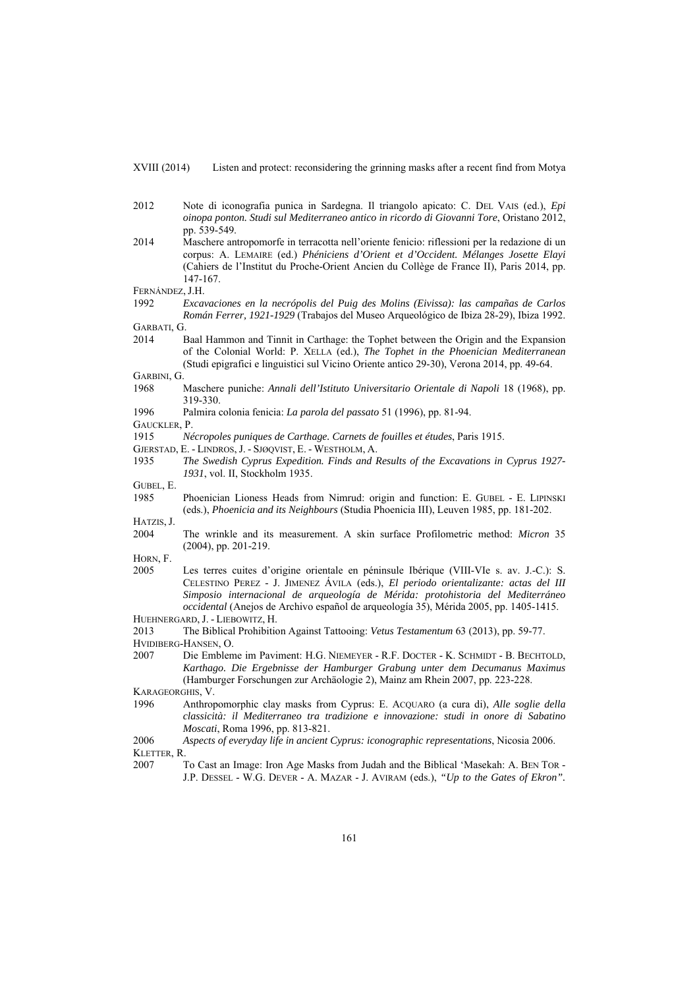- 2012 Note di iconografia punica in Sardegna. Il triangolo apicato: C. DEL VAIS (ed.), *Epi oinopa ponton. Studi sul Mediterraneo antico in ricordo di Giovanni Tore*, Oristano 2012, pp. 539-549.
- 2014 Maschere antropomorfe in terracotta nell'oriente fenicio: riflessioni per la redazione di un corpus: A. LEMAIRE (ed.) *Phéniciens d'Orient et d'Occident. Mélanges Josette Elayi* (Cahiers de l'Institut du Proche-Orient Ancien du Collège de France II), Paris 2014, pp. 147-167.

FERNÁNDEZ, J.H.

- 1992 *Excavaciones en la necrópolis del Puig des Molins (Eivissa): las campañas de Carlos Román Ferrer, 1921-1929* (Trabajos del Museo Arqueológico de Ibiza 28-29), Ibiza 1992. GARBATI, G.
- 2014 Baal Hammon and Tinnit in Carthage: the Tophet between the Origin and the Expansion of the Colonial World: P. XELLA (ed.), *The Tophet in the Phoenician Mediterranean*  (Studi epigrafici e linguistici sul Vicino Oriente antico 29-30), Verona 2014, pp. 49-64.

GARBINI, G.

- 1968 Maschere puniche: *Annali dell'Istituto Universitario Orientale di Napoli* 18 (1968), pp. 319-330.
- 1996 Palmira colonia fenicia: *La parola del passato* 51 (1996), pp. 81-94.
- GAUCKLER, P.
- 1915 *Nécropoles puniques de Carthage. Carnets de fouilles et études*, Paris 1915.
- GJERSTAD, E. LINDROS, J. SJØQVIST, E. WESTHOLM, A.
- 1935 *The Swedish Cyprus Expedition. Finds and Results of the Excavations in Cyprus 1927- 1931*, vol. II, Stockholm 1935.
- GUBEL, E.
- 1985 Phoenician Lioness Heads from Nimrud: origin and function: E. GUBEL E. LIPINSKI (eds.), *Phoenicia and its Neighbours* (Studia Phoenicia III), Leuven 1985, pp. 181-202. HATZIS, J.

2004 The wrinkle and its measurement. A skin surface Profilometric method: *Micron* 35 (2004), pp. 201-219.

HORN, F.

2005 Les terres cuites d'origine orientale en péninsule Ibérique (VIII-VIe s. av. J.-C.): S. CELESTINO PEREZ - J. JIMENEZ ÁVILA (eds.), *El periodo orientalizante: actas del III Simposio internacional de arqueología de Mérida: protohistoria del Mediterráneo occidental* (Anejos de Archivo español de arqueología 35), Mérida 2005, pp. 1405-1415. HUEHNERGARD, J. - LIEBOWITZ, H.

2013 The Biblical Prohibition Against Tattooing: *Vetus Testamentum* 63 (2013), pp. 59-77.

HVIDIBERG-HANSEN, O.

2007 Die Embleme im Paviment: H.G. NIEMEYER - R.F. DOCTER - K. SCHMIDT - B. BECHTOLD, *Karthago. Die Ergebnisse der Hamburger Grabung unter dem Decumanus Maximus* (Hamburger Forschungen zur Archäologie 2), Mainz am Rhein 2007, pp. 223-228.

KARAGEORGHIS, V.

- 1996 Anthropomorphic clay masks from Cyprus: E. ACQUARO (a cura di), *Alle soglie della classicità: il Mediterraneo tra tradizione e innovazione: studi in onore di Sabatino Moscati*, Roma 1996, pp. 813-821.
- 2006 *Aspects of everyday life in ancient Cyprus: iconographic representations*, Nicosia 2006. KLETTER, R.
- 2007 To Cast an Image: Iron Age Masks from Judah and the Biblical 'Masekah: A. BEN TOR J.P. DESSEL - W.G. DEVER - A. MAZAR - J. AVIRAM (eds.), *"Up to the Gates of Ekron".*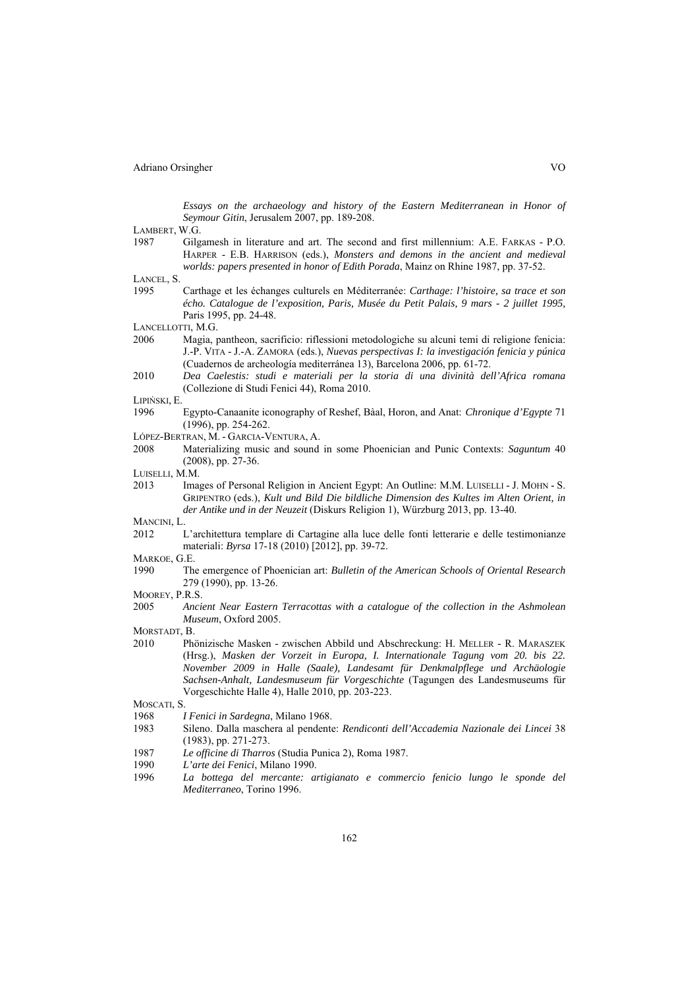*Essays on the archaeology and history of the Eastern Mediterranean in Honor of Seymour Gitin*, Jerusalem 2007, pp. 189-208.

LAMBERT, W.G.

1987 Gilgamesh in literature and art. The second and first millennium: A.E. FARKAS - P.O. HARPER - E.B. HARRISON (eds.), *Monsters and demons in the ancient and medieval worlds: papers presented in honor of Edith Porada*, Mainz on Rhine 1987, pp. 37-52.

LANCEL, S.

- 1995 Carthage et les échanges culturels en Méditerranée: *Carthage: l'histoire, sa trace et son écho. Catalogue de l'exposition, Paris, Musée du Petit Palais, 9 mars - 2 juillet 1995,*  Paris 1995, pp. 24-48.
- LANCELLOTTI, M.G.
- 2006 Magia, pantheon, sacrificio: riflessioni metodologiche su alcuni temi di religione fenicia: J.-P. VITA - J.-A. ZAMORA (eds.), *Nuevas perspectivas I: la investigación fenicia y púnica*  (Cuadernos de archeología mediterránea 13), Barcelona 2006, pp. 61-72.
- 2010 *Dea Caelestis: studi e materiali per la storia di una divinità dell'Africa romana* (Collezione di Studi Fenici 44), Roma 2010.

LIPIŃSKI, E.

- 1996 Egypto-Canaanite iconography of Reshef, Bàal, Horon, and Anat: *Chronique d'Egypte* 71 (1996), pp. 254-262.
- LÓPEZ-BERTRAN, M. GARCIA-VENTURA, A.
- 2008 Materializing music and sound in some Phoenician and Punic Contexts: *Saguntum* 40 (2008), pp. 27-36.

LUISELLI, M.M.

2013 Images of Personal Religion in Ancient Egypt: An Outline: M.M. LUISELLI - J. MOHN - S. GRIPENTRO (eds.), *Kult und Bild Die bildliche Dimension des Kultes im Alten Orient, in der Antike und in der Neuzeit* (Diskurs Religion 1), Würzburg 2013, pp. 13-40.

MANCINI, L.

2012 L'architettura templare di Cartagine alla luce delle fonti letterarie e delle testimonianze materiali: *Byrsa* 17-18 (2010) [2012], pp. 39-72.

MARKOE, G.E.

- 1990 The emergence of Phoenician art: *Bulletin of the American Schools of Oriental Research* 279 (1990), pp. 13-26.
- MOOREY, P.R.S.
- 2005 *Ancient Near Eastern Terracottas with a catalogue of the collection in the Ashmolean Museum*, Oxford 2005.

MORSTADT, B.

2010 Phönizische Masken - zwischen Abbild und Abschreckung: H. MELLER - R. MARASZEK (Hrsg.), *Masken der Vorzeit in Europa, I. Internationale Tagung vom 20. bis 22. November 2009 in Halle (Saale), Landesamt für Denkmalpflege und Archäologie Sachsen-Anhalt, Landesmuseum für Vorgeschichte* (Tagungen des Landesmuseums für Vorgeschichte Halle 4), Halle 2010, pp. 203-223.

MOSCATI, S.<br>1968

- 1968 *I Fenici in Sardegna*, Milano 1968.
- 1983 Sileno. Dalla maschera al pendente: *Rendiconti dell'Accademia Nazionale dei Lincei* 38 (1983), pp. 271-273.
- 1987 *Le officine di Tharros* (Studia Punica 2), Roma 1987.
- 1990 *L'arte dei Fenici*, Milano 1990.
- 1996 *La bottega del mercante: artigianato e commercio fenicio lungo le sponde del Mediterraneo*, Torino 1996.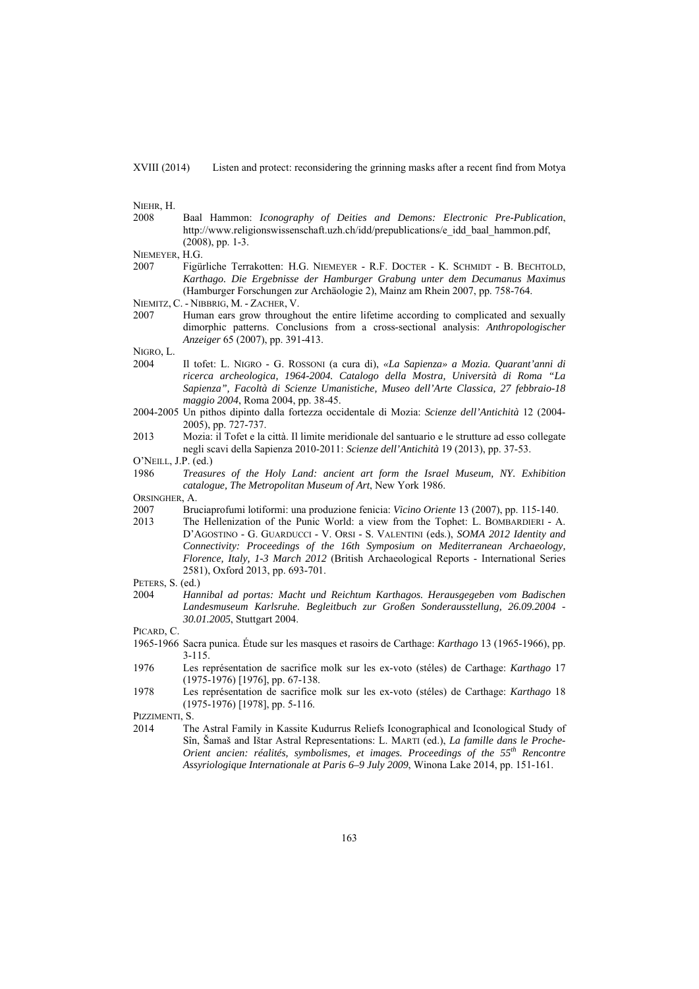NIEHR, H.

2008 Baal Hammon: *Iconography of Deities and Demons: Electronic Pre-Publication*, http://www.religionswissenschaft.uzh.ch/idd/prepublications/e\_idd\_baal\_hammon.pdf, (2008), pp. 1-3.

NIEMEYER, H.G.

2007 Figürliche Terrakotten: H.G. NIEMEYER - R.F. DOCTER - K. SCHMIDT - B. BECHTOLD, *Karthago. Die Ergebnisse der Hamburger Grabung unter dem Decumanus Maximus* (Hamburger Forschungen zur Archäologie 2), Mainz am Rhein 2007, pp. 758-764.

NIEMITZ, C. - NIBBRIG, M. - ZACHER, V.

2007 Human ears grow throughout the entire lifetime according to complicated and sexually dimorphic patterns. Conclusions from a cross-sectional analysis: *Anthropologischer Anzeiger* 65 (2007), pp. 391-413.

NIGRO, L.

- 2004 Il tofet: L. NIGRO G. ROSSONI (a cura di), *«La Sapienza» a Mozia. Quarant'anni di ricerca archeologica, 1964-2004. Catalogo della Mostra, Università di Roma "La Sapienza", Facoltà di Scienze Umanistiche, Museo dell'Arte Classica, 27 febbraio-18 maggio 2004*, Roma 2004, pp. 38-45.
- 2004-2005 Un pithos dipinto dalla fortezza occidentale di Mozia: *Scienze dell'Antichità* 12 (2004- 2005), pp. 727-737.
- 2013 Mozia: il Tofet e la città. Il limite meridionale del santuario e le strutture ad esso collegate negli scavi della Sapienza 2010-2011: *Scienze dell'Antichità* 19 (2013), pp. 37-53.

O'NEILL, J.P. (ed.)

1986 *Treasures of the Holy Land: ancient art form the Israel Museum, NY. Exhibition catalogue, The Metropolitan Museum of Art*, New York 1986.

ORSINGHER A

- 2007 Bruciaprofumi lotiformi: una produzione fenicia: *Vicino Oriente* 13 (2007), pp. 115-140.
- 2013 The Hellenization of the Punic World: a view from the Tophet: L. BOMBARDIERI A. D'AGOSTINO - G. GUARDUCCI - V. ORSI - S. VALENTINI (eds.), *SOMA 2012 Identity and Connectivity: Proceedings of the 16th Symposium on Mediterranean Archaeology, Florence, Italy, 1-3 March 2012* (British Archaeological Reports - International Series 2581), Oxford 2013, pp. 693-701.

PETERS, S. (ed.)

2004 *Hannibal ad portas: Macht und Reichtum Karthagos. Herausgegeben vom Badischen Landesmuseum Karlsruhe. Begleitbuch zur Großen Sonderausstellung, 26.09.2004 - 30.01.2005*, Stuttgart 2004.

PICARD, C.

- 1965-1966 Sacra punica. Étude sur les masques et rasoirs de Carthage: *Karthago* 13 (1965-1966), pp. 3-115.
- 1976 Les représentation de sacrifice molk sur les ex-voto (stéles) de Carthage: *Karthago* 17 (1975-1976) [1976], pp. 67-138.
- 1978 Les représentation de sacrifice molk sur les ex-voto (stéles) de Carthage: *Karthago* 18 (1975-1976) [1978], pp. 5-116.

PIZZIMENTI, S.

2014 The Astral Family in Kassite Kudurrus Reliefs Iconographical and Iconological Study of Sîn, Šamaš and Ištar Astral Representations: L. MARTI (ed.), *La famille dans le Proche-Orient ancien: réalités, symbolismes, et images. Proceedings of the 55<sup>th</sup> Rencontre Assyriologique Internationale at Paris 6–9 July 2009*, Winona Lake 2014, pp. 151-161.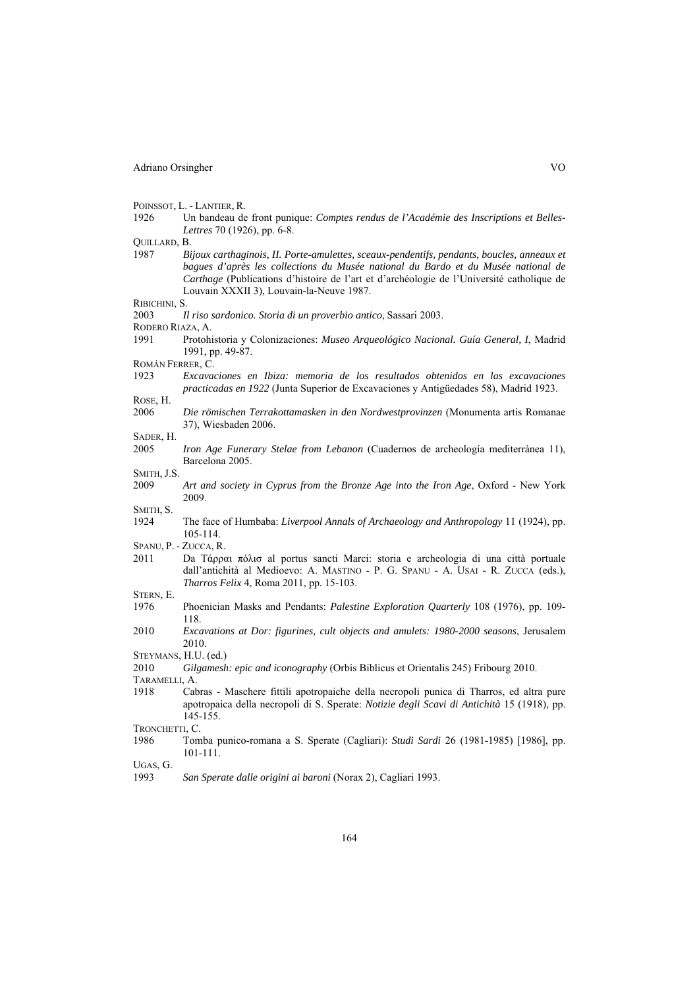POINSSOT, L. - LANTIER, R.

1926 Un bandeau de front punique: *Comptes rendus de l'Académie des Inscriptions et Belles-Lettres* 70 (1926), pp. 6-8.

QUILLARD, B.

1987 *Bijoux carthaginois, II. Porte-amulettes, sceaux-pendentifs, pendants, boucles, anneaux et bagues d'après les collections du Musée national du Bardo et du Musée national de Carthage* (Publications d'histoire de l'art et d'archéologie de l'Université catholique de Louvain XXXII 3), Louvain-la-Neuve 1987.

RIBICHINI, S.

- 2003 *Il riso sardonico. Storia di un proverbio antico*, Sassari 2003.
- RODERO RIAZA, A.
- 1991 Protohistoria y Colonizaciones: *Museo Arqueológico Nacional. Guía General, I*, Madrid 1991, pp. 49-87.
- ROMÁN FERRER, C.
- 1923 *Excavaciones en Ibiza: memoria de los resultados obtenidos en las excavaciones practicadas en 1922* (Junta Superior de Excavaciones y Antigüedades 58), Madrid 1923.

ROSE, H.

- 2006 *Die römischen Terrakottamasken in den Nordwestprovinzen* (Monumenta artis Romanae 37), Wiesbaden 2006.
- SADER, H.
- 2005 *Iron Age Funerary Stelae from Lebanon* (Cuadernos de archeología mediterránea 11), Barcelona 2005.
- SMITH, J.S.
- 2009 *Art and society in Cyprus from the Bronze Age into the Iron Age*, Oxford New York 2009.

SMITH, S.

- 1924 The face of Humbaba: *Liverpool Annals of Archaeology and Anthropology* 11 (1924), pp. 105-114.
- SPANU, P. ZUCCA, R.
- 2011 Da Τάρραι πóλισ al portus sancti Marci: storia e archeologia di una città portuale dall'antichità al Medioevo: A. MASTINO - P. G. SPANU - A. USAI - R. ZUCCA (eds.), *Tharros Felix* 4, Roma 2011, pp. 15-103.
- STERN, E.
- 1976 Phoenician Masks and Pendants: *Palestine Exploration Quarterly* 108 (1976), pp. 109- 118.
- 2010 *Excavations at Dor: figurines, cult objects and amulets: 1980-2000 seasons*, Jerusalem 2010.

STEYMANS, H.U. (ed.)

- 2010 *Gilgamesh: epic and iconography* (Orbis Biblicus et Orientalis 245) Fribourg 2010.
- TARAMELLI, A.
- 1918 Cabras Maschere fittili apotropaiche della necropoli punica di Tharros, ed altra pure apotropaica della necropoli di S. Sperate: *Notizie degli Scavi di Antichità* 15 (1918), pp. 145-155.

TRONCHETTI, C.

1986 Tomba punico-romana a S. Sperate (Cagliari): *Studi Sardi* 26 (1981-1985) [1986], pp. 101-111.

UGAS, G.

1993 *San Sperate dalle origini ai baroni* (Norax 2), Cagliari 1993.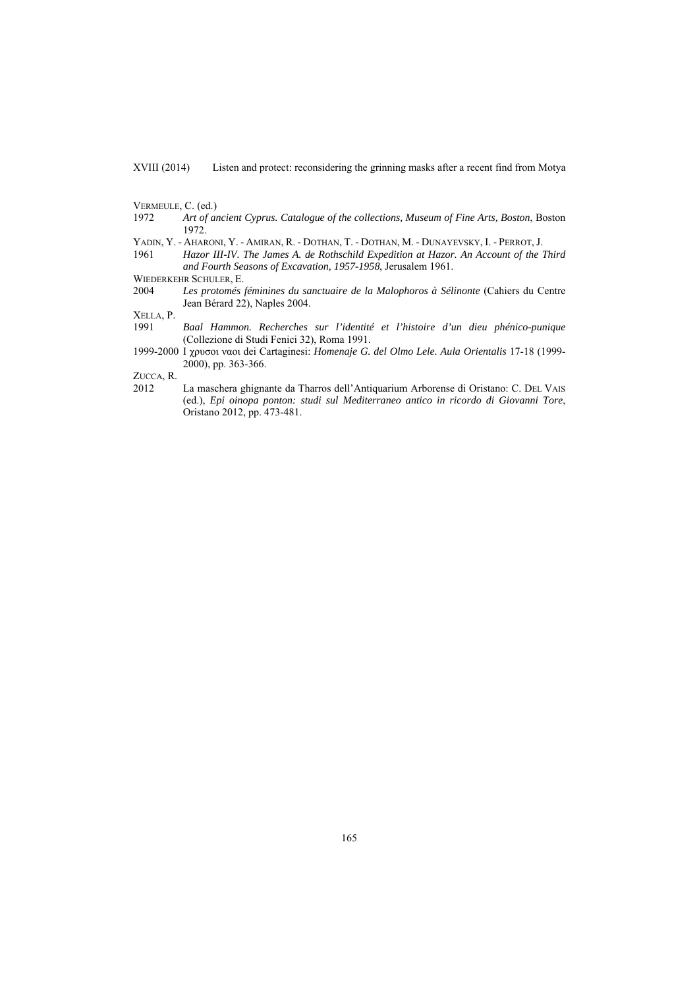#### VERMEULE, C. (ed.)

- 1972 *Art of ancient Cyprus. Catalogue of the collections, Museum of Fine Arts, Boston*, Boston 1972.
- YADIN, Y. AHARONI, Y. AMIRAN, R. DOTHAN, T. DOTHAN, M. DUNAYEVSKY, I. PERROT, J.
- 1961 *Hazor III-IV. The James A. de Rothschild Expedition at Hazor. An Account of the Third and Fourth Seasons of Excavation, 1957-1958*, Jerusalem 1961.

WIEDERKEHR SCHULER, E.

2004 *Les protomés féminines du sanctuaire de la Malophoros à Sélinonte* (Cahiers du Centre Jean Bérard 22), Naples 2004.

XELLA, P.

- 1991 *Baal Hammon. Recherches sur l'identité et l'histoire d'un dieu phénico-punique* (Collezione di Studi Fenici 32), Roma 1991.
- 1999-2000 I χρυσoι ναoι dei Cartaginesi: *Homenaje G. del Olmo Lele. Aula Orientalis* 17-18 (1999- 2000), pp. 363-366.

ZUCCA, R.

2012 La maschera ghignante da Tharros dell'Antiquarium Arborense di Oristano: C. DEL VAIS (ed.), *Epi oinopa ponton: studi sul Mediterraneo antico in ricordo di Giovanni Tore*, Oristano 2012, pp. 473-481.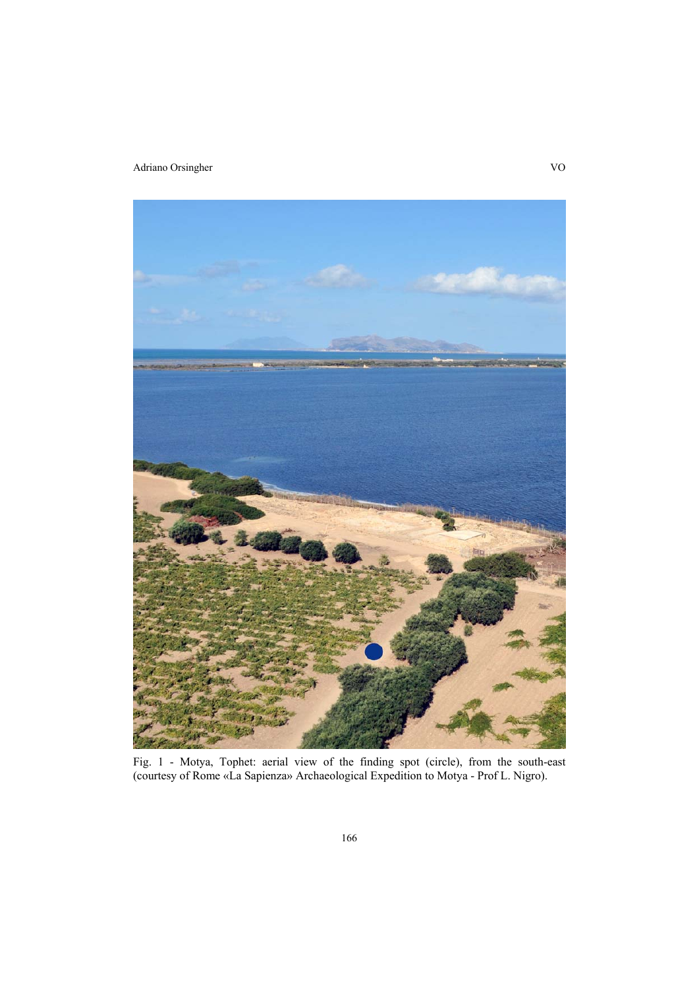

Fig. 1 - Motya, Tophet: aerial view of the finding spot (circle), from the south-east (courtesy of Rome «La Sapienza» Archaeological Expedition to Motya - Prof L. Nigro).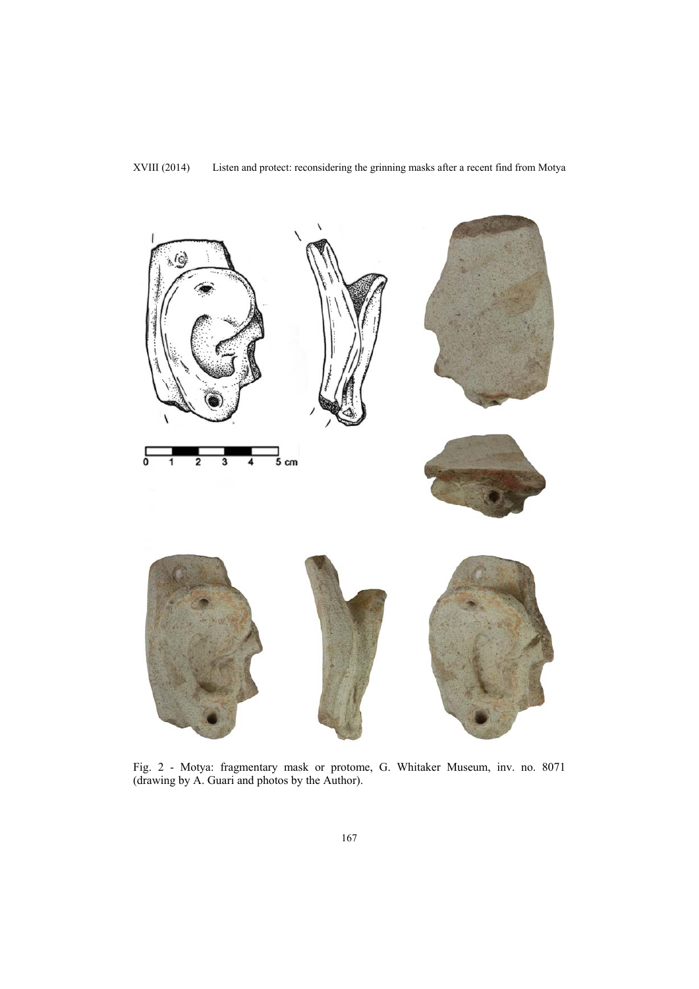

Fig. 2 - Motya: fragmentary mask or protome, G. Whitaker Museum, inv. no. 8071 (drawing by A. Guari and photos by the Author).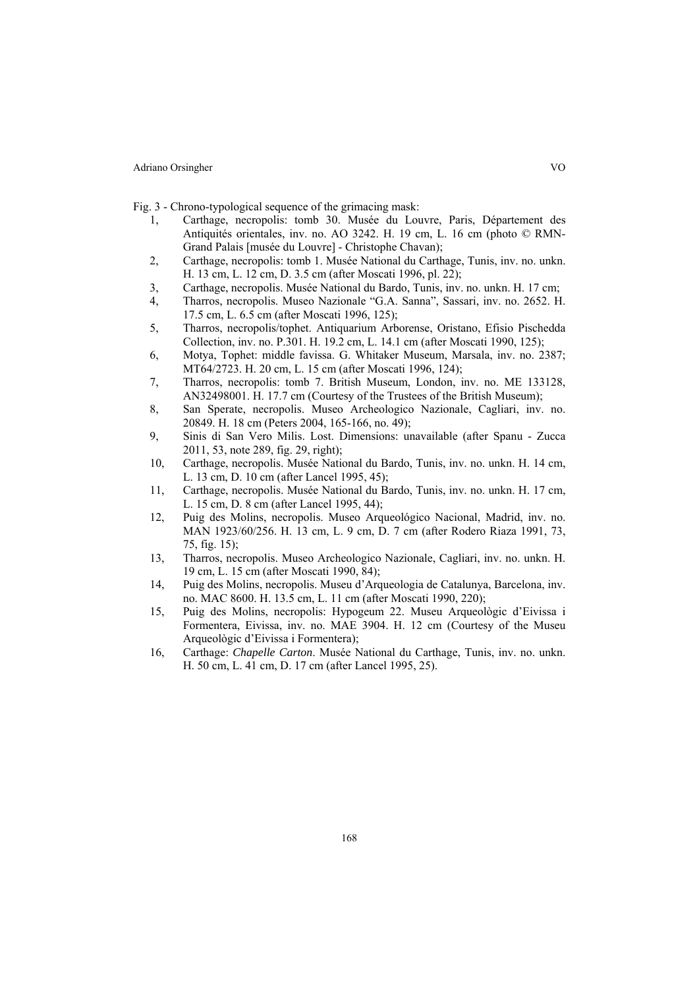Fig. 3 - Chrono-typological sequence of the grimacing mask:

- 1, Carthage, necropolis: tomb 30. Musée du Louvre, Paris, Département des Antiquités orientales, inv. no. AO 3242. H. 19 cm, L. 16 cm (photo © RMN-Grand Palais [musée du Louvre] - Christophe Chavan);
- 2, Carthage, necropolis: tomb 1. Musée National du Carthage, Tunis, inv. no. unkn. H. 13 cm, L. 12 cm, D. 3.5 cm (after Moscati 1996, pl. 22);
- 3, Carthage, necropolis. Musée National du Bardo, Tunis, inv. no. unkn. H. 17 cm;
- 4, Tharros, necropolis. Museo Nazionale "G.A. Sanna", Sassari, inv. no. 2652. H. 17.5 cm, L. 6.5 cm (after Moscati 1996, 125);
- 5, Tharros, necropolis/tophet. Antiquarium Arborense, Oristano, Efisio Pischedda Collection, inv. no. P.301. H. 19.2 cm, L. 14.1 cm (after Moscati 1990, 125);
- 6, Motya, Tophet: middle favissa. G. Whitaker Museum, Marsala, inv. no. 2387; MT64/2723. H. 20 cm, L. 15 cm (after Moscati 1996, 124);
- 7, Tharros, necropolis: tomb 7. British Museum, London, inv. no. ME 133128, AN32498001. H. 17.7 cm (Courtesy of the Trustees of the British Museum);
- 8, San Sperate, necropolis. Museo Archeologico Nazionale, Cagliari, inv. no. 20849. H. 18 cm (Peters 2004, 165-166, no. 49);
- 9, Sinis di San Vero Milis. Lost. Dimensions: unavailable (after Spanu Zucca 2011, 53, note 289, fig. 29, right);
- 10, Carthage, necropolis. Musée National du Bardo, Tunis, inv. no. unkn. H. 14 cm, L. 13 cm, D. 10 cm (after Lancel 1995, 45);
- 11, Carthage, necropolis. Musée National du Bardo, Tunis, inv. no. unkn. H. 17 cm, L. 15 cm, D. 8 cm (after Lancel 1995, 44);
- 12, Puig des Molins, necropolis. Museo Arqueológico Nacional, Madrid, inv. no. MAN 1923/60/256. H. 13 cm, L. 9 cm, D. 7 cm (after Rodero Riaza 1991, 73, 75, fig. 15);
- 13, Tharros, necropolis. Museo Archeologico Nazionale, Cagliari, inv. no. unkn. H. 19 cm, L. 15 cm (after Moscati 1990, 84);
- 14, Puig des Molins, necropolis. Museu d'Arqueologia de Catalunya, Barcelona, inv. no. MAC 8600. H. 13.5 cm, L. 11 cm (after Moscati 1990, 220);
- 15, Puig des Molins, necropolis: Hypogeum 22. Museu Arqueològic d'Eivissa i Formentera, Eivissa, inv. no. MAE 3904. H. 12 cm (Courtesy of the Museu Arqueològic d'Eivissa i Formentera);
- 16, Carthage: *Chapelle Carton*. Musée National du Carthage, Tunis, inv. no. unkn. H. 50 cm, L. 41 cm, D. 17 cm (after Lancel 1995, 25).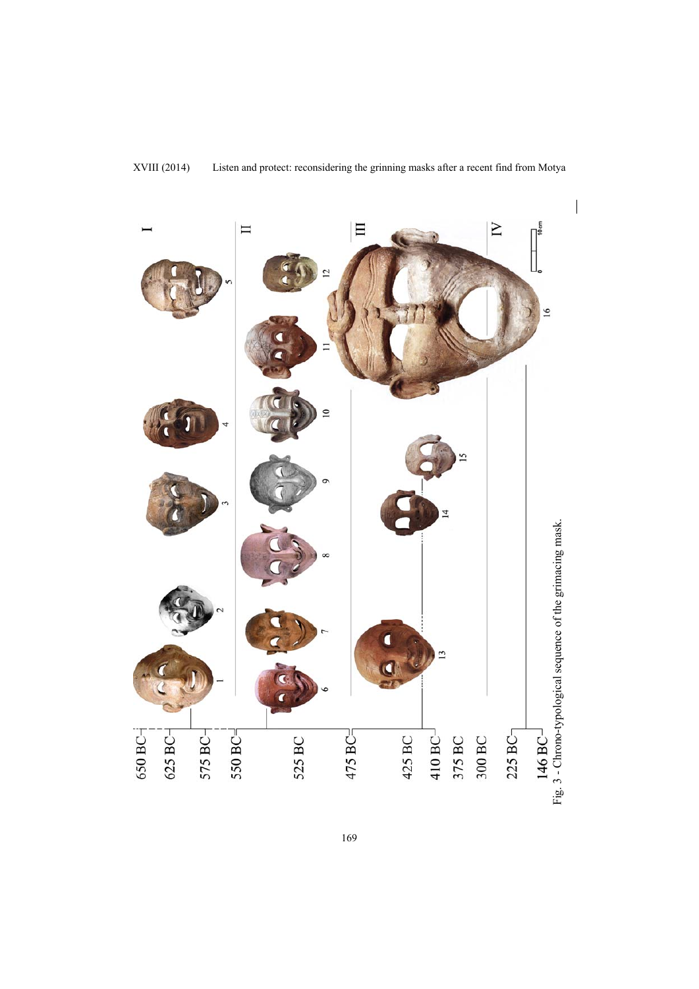

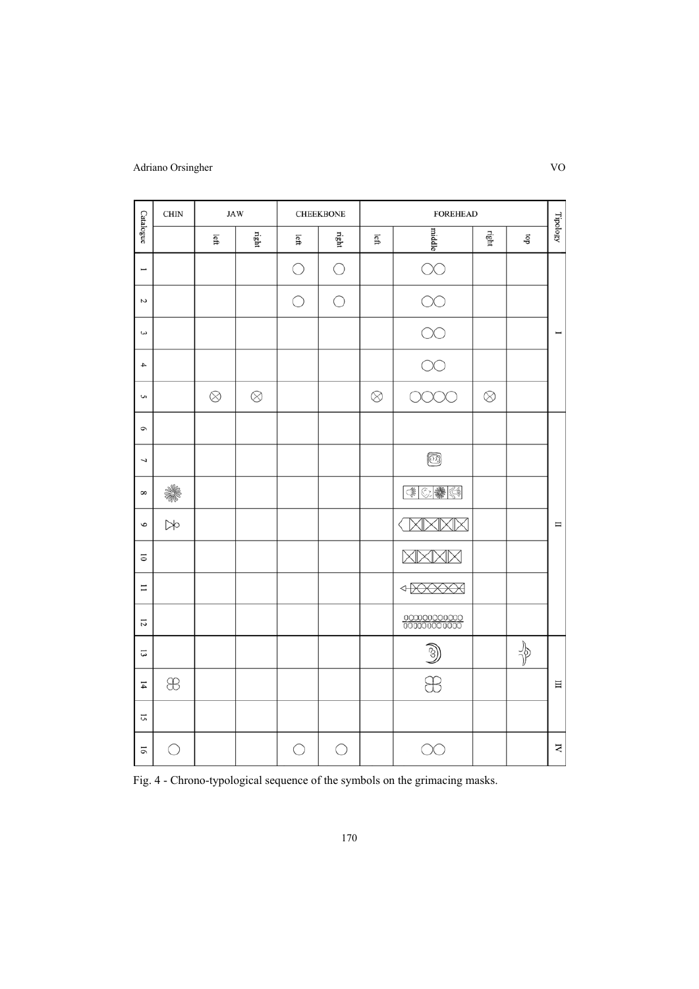|                          | <b>CHIN</b>    |           | <b>JAW</b> |            | <b>CHEEKBONE</b> | <b>FOREHEAD</b> |                                                                                                                                                                                                                                                                                                                                                     |           |                |          |
|--------------------------|----------------|-----------|------------|------------|------------------|-----------------|-----------------------------------------------------------------------------------------------------------------------------------------------------------------------------------------------------------------------------------------------------------------------------------------------------------------------------------------------------|-----------|----------------|----------|
| Catalogue                |                | left      | right      | left       | right            | left            | middle                                                                                                                                                                                                                                                                                                                                              | right     | do             | Tipology |
| $\overline{\phantom{0}}$ |                |           |            | О          | O                |                 | $\circlearrowright$                                                                                                                                                                                                                                                                                                                                 |           |                |          |
| 2                        |                |           |            | О          | $\bigcirc$       |                 | OO                                                                                                                                                                                                                                                                                                                                                  |           |                |          |
| ε                        |                |           |            |            |                  |                 | OO                                                                                                                                                                                                                                                                                                                                                  |           |                |          |
| 4                        |                |           |            |            |                  |                 | $\circlearrowright$                                                                                                                                                                                                                                                                                                                                 |           |                |          |
| S                        |                | $\otimes$ | $\otimes$  |            |                  | $\otimes$       | 0000                                                                                                                                                                                                                                                                                                                                                | $\otimes$ |                |          |
| $\circ$                  |                |           |            |            |                  |                 |                                                                                                                                                                                                                                                                                                                                                     |           |                |          |
| J                        |                |           |            |            |                  |                 | $\circledcirc$                                                                                                                                                                                                                                                                                                                                      |           |                |          |
| $\infty$                 | ▓              |           |            |            |                  |                 | 安泰公幸                                                                                                                                                                                                                                                                                                                                                |           |                |          |
| 6                        | $\mathbb{R}^2$ |           |            |            |                  |                 | લ⊠                                                                                                                                                                                                                                                                                                                                                  |           |                | $\equiv$ |
| $\overline{\circ}$       |                |           |            |            |                  |                 | XXXX                                                                                                                                                                                                                                                                                                                                                |           |                |          |
| $\equiv$                 |                |           |            |            |                  |                 | $\begin{picture}(150,10) \put(0,0){\line(1,0){10}} \put(15,0){\line(1,0){10}} \put(15,0){\line(1,0){10}} \put(15,0){\line(1,0){10}} \put(15,0){\line(1,0){10}} \put(15,0){\line(1,0){10}} \put(15,0){\line(1,0){10}} \put(15,0){\line(1,0){10}} \put(15,0){\line(1,0){10}} \put(15,0){\line(1,0){10}} \put(15,0){\line(1,0){10}} \put(15,0){\line($ |           |                |          |
| $12\,$                   |                |           |            |            |                  |                 |                                                                                                                                                                                                                                                                                                                                                     |           |                |          |
| 13                       |                |           |            |            |                  |                 | $\frac{\text{d}}{\text{d}t}$                                                                                                                                                                                                                                                                                                                        |           | $\frac{1}{10}$ |          |
| 14                       | $\bigoplus$    |           |            |            |                  |                 |                                                                                                                                                                                                                                                                                                                                                     |           |                | $\equiv$ |
| 5                        |                |           |            |            |                  |                 |                                                                                                                                                                                                                                                                                                                                                     |           |                |          |
| 16                       | O              |           |            | $\bigcirc$ | $\bigcirc$       |                 | $\circlearrowright$                                                                                                                                                                                                                                                                                                                                 |           |                | Z        |

Fig. 4 - Chrono-typological sequence of the symbols on the grimacing masks.